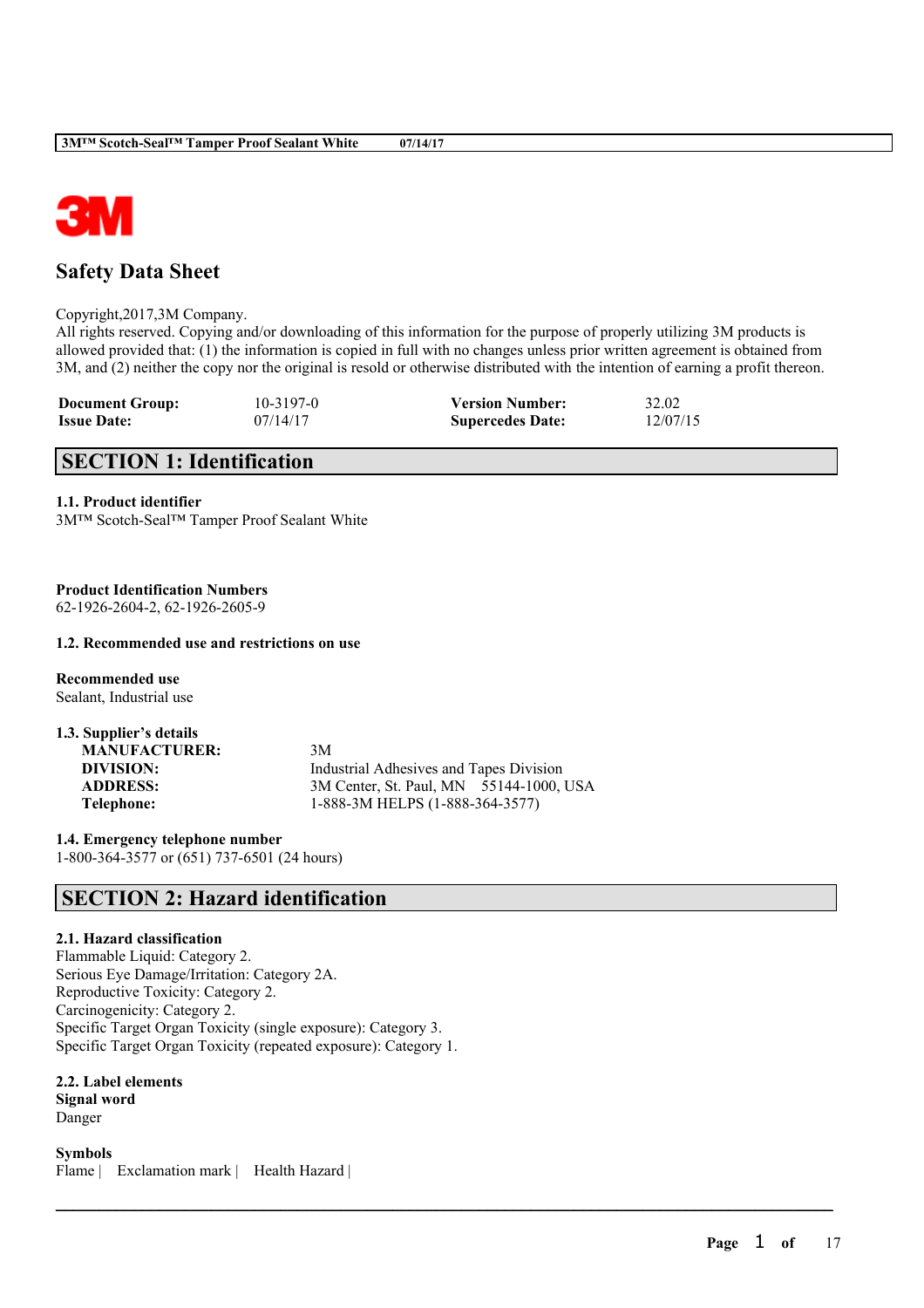

# **Safety Data Sheet**

Copyright,2017,3M Company.

All rights reserved. Copying and/or downloading of this information for the purpose of properly utilizing 3M products is allowed provided that: (1) the information is copied in full with no changes unless prior written agreement is obtained from 3M, and (2) neither the copy nor the original is resold or otherwise distributed with the intention of earning a profit thereon.

 $\mathcal{L}_\mathcal{L} = \mathcal{L}_\mathcal{L} = \mathcal{L}_\mathcal{L} = \mathcal{L}_\mathcal{L} = \mathcal{L}_\mathcal{L} = \mathcal{L}_\mathcal{L} = \mathcal{L}_\mathcal{L} = \mathcal{L}_\mathcal{L} = \mathcal{L}_\mathcal{L} = \mathcal{L}_\mathcal{L} = \mathcal{L}_\mathcal{L} = \mathcal{L}_\mathcal{L} = \mathcal{L}_\mathcal{L} = \mathcal{L}_\mathcal{L} = \mathcal{L}_\mathcal{L} = \mathcal{L}_\mathcal{L} = \mathcal{L}_\mathcal{L}$ 

| <b>Document Group:</b> | $10 - 3197 - 0$ | <b>Version Number:</b>  | 32.02    |
|------------------------|-----------------|-------------------------|----------|
| <b>Issue Date:</b>     | 07/14/17        | <b>Supercedes Date:</b> | 12/07/15 |

# **SECTION 1: Identification**

**1.1. Product identifier**

3M™ Scotch-Seal™ Tamper Proof Sealant White

**Product Identification Numbers**

62-1926-2604-2, 62-1926-2605-9

# **1.2. Recommended use and restrictions on use**

**Recommended use** Sealant, Industrial use

| 1.3. Supplier's details |                                         |
|-------------------------|-----------------------------------------|
| <b>MANUFACTURER:</b>    | 3M                                      |
| DIVISION:               | Industrial Adhesives and Tapes Division |
| <b>ADDRESS:</b>         | 3M Center, St. Paul, MN 55144-1000, USA |
| Telephone:              | 1-888-3M HELPS (1-888-364-3577)         |

**1.4. Emergency telephone number** 1-800-364-3577 or (651) 737-6501 (24 hours)

# **SECTION 2: Hazard identification**

# **2.1. Hazard classification**

Flammable Liquid: Category 2. Serious Eye Damage/Irritation: Category 2A. Reproductive Toxicity: Category 2. Carcinogenicity: Category 2. Specific Target Organ Toxicity (single exposure): Category 3. Specific Target Organ Toxicity (repeated exposure): Category 1.

**2.2. Label elements Signal word** Danger

**Symbols** Flame | Exclamation mark | Health Hazard |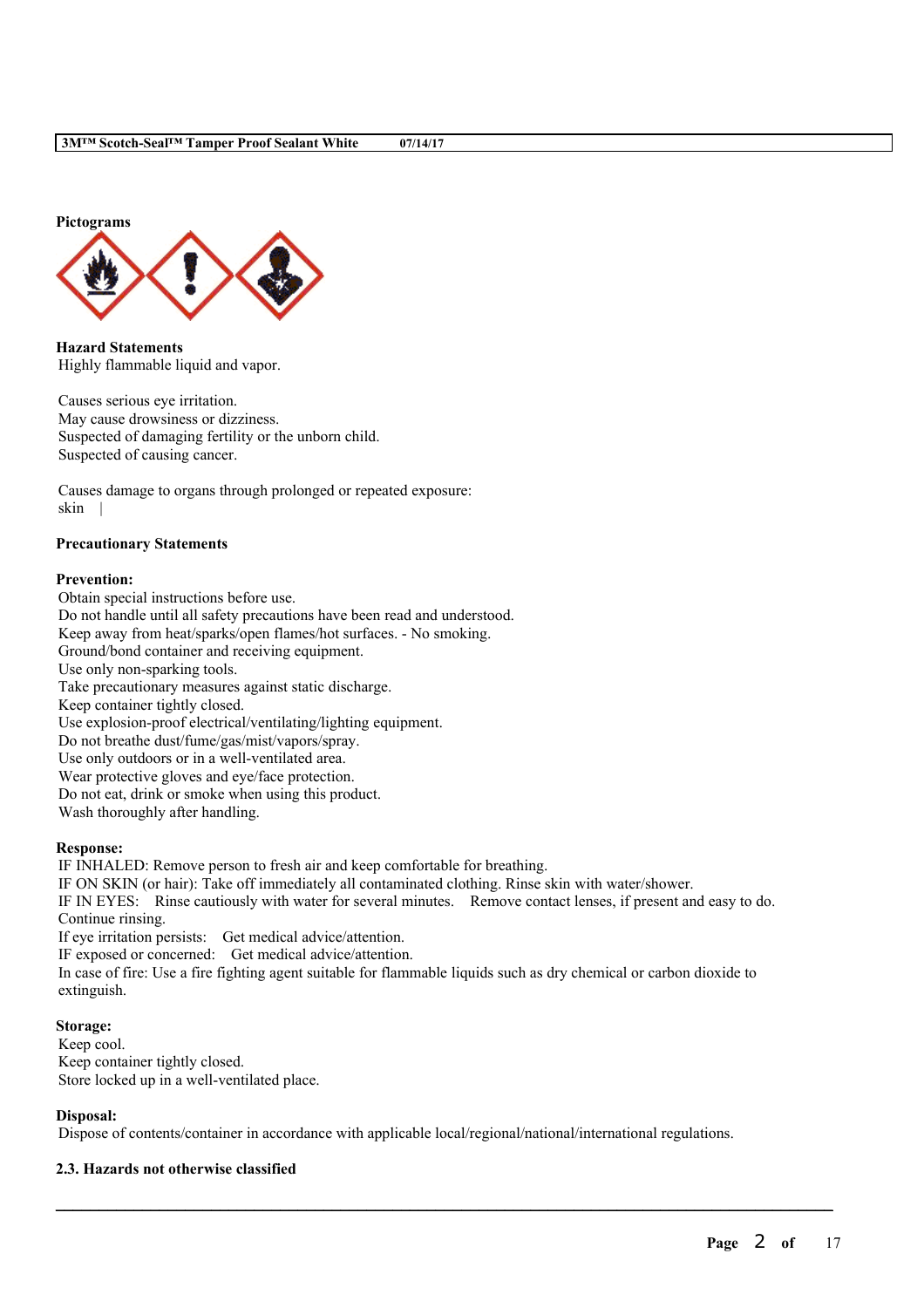

**Hazard Statements** Highly flammable liquid and vapor.

Causes serious eye irritation. May cause drowsiness or dizziness. Suspected of damaging fertility or the unborn child. Suspected of causing cancer.

Causes damage to organs through prolonged or repeated exposure: skin |

# **Precautionary Statements**

# **Prevention:**

Obtain special instructions before use. Do not handle until all safety precautions have been read and understood. Keep away from heat/sparks/open flames/hot surfaces. - No smoking. Ground/bond container and receiving equipment. Use only non-sparking tools. Take precautionary measures against static discharge. Keep container tightly closed. Use explosion-proof electrical/ventilating/lighting equipment. Do not breathe dust/fume/gas/mist/vapors/spray. Use only outdoors or in a well-ventilated area. Wear protective gloves and eye/face protection. Do not eat, drink or smoke when using this product. Wash thoroughly after handling.

# **Response:**

IF INHALED: Remove person to fresh air and keep comfortable for breathing. IF ON SKIN (or hair): Take off immediately all contaminated clothing. Rinse skin with water/shower. IF IN EYES: Rinse cautiously with water for several minutes. Remove contact lenses, if present and easy to do. Continue rinsing.

If eye irritation persists: Get medical advice/attention.

IF exposed or concerned: Get medical advice/attention.

In case of fire: Use a fire fighting agent suitable for flammable liquids such as dry chemical or carbon dioxide to extinguish.

# **Storage:**

Keep cool. Keep container tightly closed. Store locked up in a well-ventilated place.

# **Disposal:**

Dispose of contents/container in accordance with applicable local/regional/national/international regulations.

 $\mathcal{L}_\mathcal{L} = \mathcal{L}_\mathcal{L} = \mathcal{L}_\mathcal{L} = \mathcal{L}_\mathcal{L} = \mathcal{L}_\mathcal{L} = \mathcal{L}_\mathcal{L} = \mathcal{L}_\mathcal{L} = \mathcal{L}_\mathcal{L} = \mathcal{L}_\mathcal{L} = \mathcal{L}_\mathcal{L} = \mathcal{L}_\mathcal{L} = \mathcal{L}_\mathcal{L} = \mathcal{L}_\mathcal{L} = \mathcal{L}_\mathcal{L} = \mathcal{L}_\mathcal{L} = \mathcal{L}_\mathcal{L} = \mathcal{L}_\mathcal{L}$ 

# **2.3. Hazards not otherwise classified**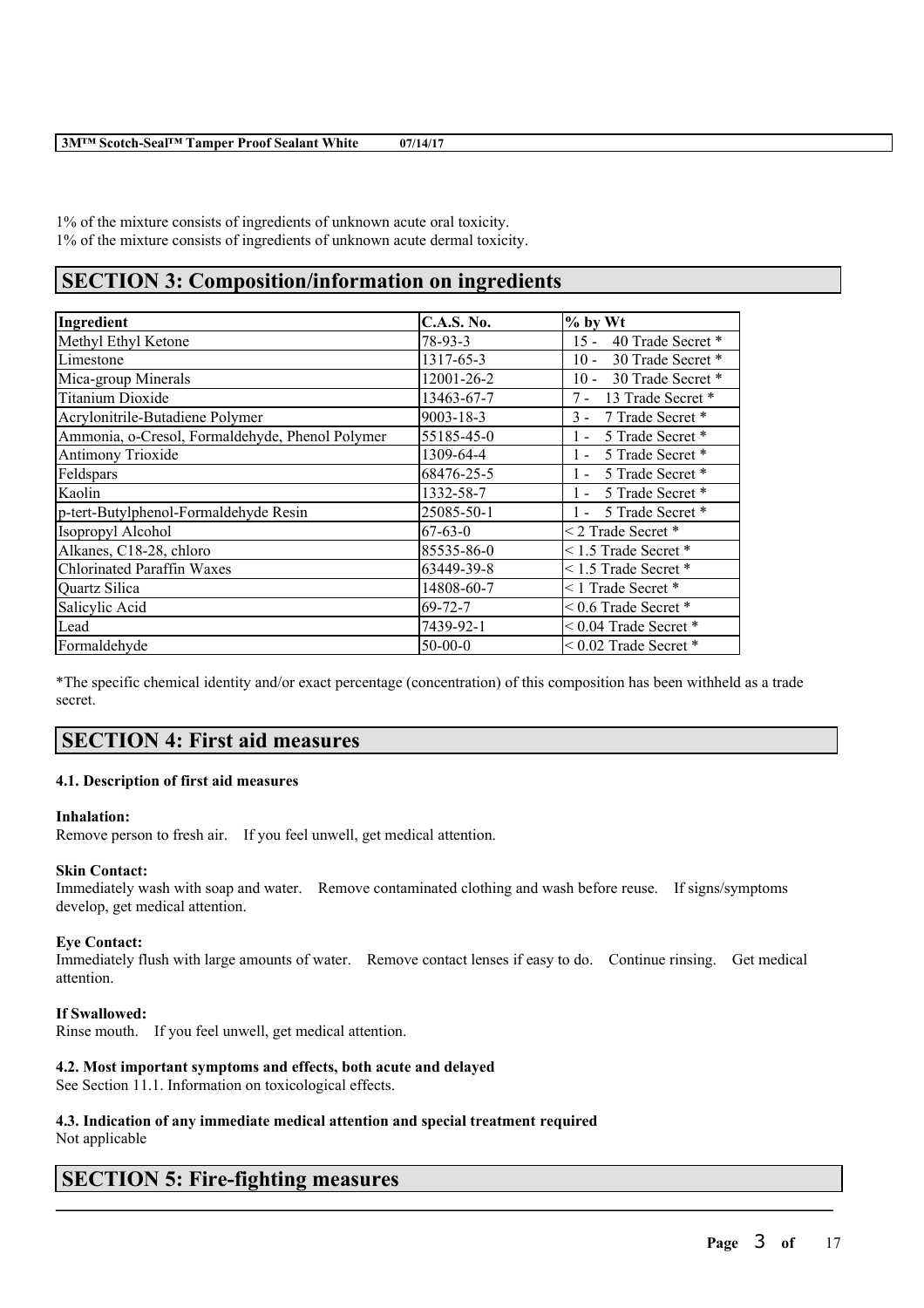1% of the mixture consists of ingredients of unknown acute oral toxicity. 1% of the mixture consists of ingredients of unknown acute dermal toxicity.

# **SECTION 3: Composition/information on ingredients**

| Ingredient                                      | <b>C.A.S. No.</b> | $%$ by Wt                    |
|-------------------------------------------------|-------------------|------------------------------|
| Methyl Ethyl Ketone                             | $78-93-3$         | $15 -$<br>40 Trade Secret *  |
| Limestone                                       | 1317-65-3         | $10 -$<br>30 Trade Secret *  |
| Mica-group Minerals                             | 12001-26-2        | 30 Trade Secret *<br>$10 -$  |
| Titanium Dioxide                                | 13463-67-7        | 13 Trade Secret *<br>$7 -$   |
| Acrylonitrile-Butadiene Polymer                 | $9003 - 18 - 3$   | 3 - 7 Trade Secret *         |
| Ammonia, o-Cresol, Formaldehyde, Phenol Polymer | 55185-45-0        | 5 Trade Secret *<br>$1 -$    |
| <b>Antimony Trioxide</b>                        | 1309-64-4         | 5 Trade Secret *<br>$1 -$    |
| Feldspars                                       | 68476-25-5        | 5 Trade Secret *<br>$1 -$    |
| Kaolin                                          | 1332-58-7         | 5 Trade Secret *<br>$1 -$    |
| p-tert-Butylphenol-Formaldehyde Resin           | 25085-50-1        | 1 - 5 Trade Secret *         |
| Isopropyl Alcohol                               | $67-63-0$         | $<$ 2 Trade Secret $*$       |
| Alkanes, C18-28, chloro                         | 85535-86-0        | $\leq$ 1.5 Trade Secret *    |
| <b>Chlorinated Paraffin Waxes</b>               | 63449-39-8        | $\leq$ 1.5 Trade Secret $*$  |
| Quartz Silica                                   | 14808-60-7        | $\leq$ 1 Trade Secret *      |
| Salicylic Acid                                  | $69 - 72 - 7$     | $\leq 0.6$ Trade Secret *    |
| Lead                                            | 7439-92-1         | $< 0.04$ Trade Secret $*$    |
| Formaldehyde                                    | $50-00-0$         | $\leq$ 0.02 Trade Secret $*$ |

\*The specific chemical identity and/or exact percentage (concentration) of this composition has been withheld as a trade secret.

# **SECTION 4: First aid measures**

# **4.1. Description of first aid measures**

# **Inhalation:**

Remove person to fresh air. If you feel unwell, get medical attention.

# **Skin Contact:**

Immediately wash with soap and water. Remove contaminated clothing and wash before reuse. If signs/symptoms develop, get medical attention.

# **Eye Contact:**

Immediately flush with large amounts of water. Remove contact lenses if easy to do. Continue rinsing. Get medical attention.

 $\mathcal{L}_\mathcal{L} = \mathcal{L}_\mathcal{L} = \mathcal{L}_\mathcal{L} = \mathcal{L}_\mathcal{L} = \mathcal{L}_\mathcal{L} = \mathcal{L}_\mathcal{L} = \mathcal{L}_\mathcal{L} = \mathcal{L}_\mathcal{L} = \mathcal{L}_\mathcal{L} = \mathcal{L}_\mathcal{L} = \mathcal{L}_\mathcal{L} = \mathcal{L}_\mathcal{L} = \mathcal{L}_\mathcal{L} = \mathcal{L}_\mathcal{L} = \mathcal{L}_\mathcal{L} = \mathcal{L}_\mathcal{L} = \mathcal{L}_\mathcal{L}$ 

# **If Swallowed:**

Rinse mouth. If you feel unwell, get medical attention.

# **4.2. Most important symptoms and effects, both acute and delayed**

See Section 11.1. Information on toxicological effects.

# **4.3. Indication of any immediate medical attention and special treatment required** Not applicable

# **SECTION 5: Fire-fighting measures**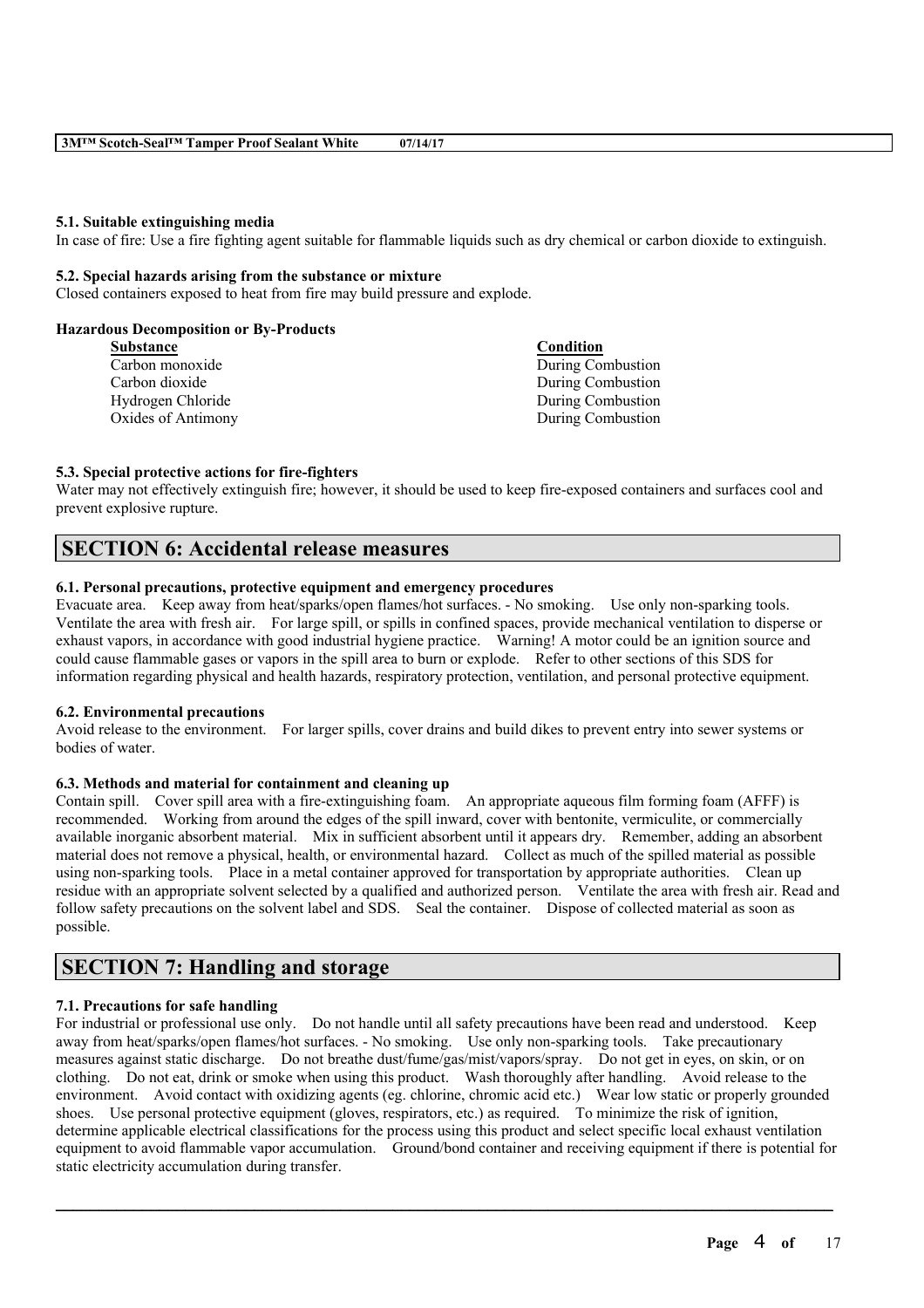#### **5.1. Suitable extinguishing media**

In case of fire: Use a fire fighting agent suitable for flammable liquids such as dry chemical or carbon dioxide to extinguish.

### **5.2. Special hazards arising from the substance or mixture**

Closed containers exposed to heat from fire may build pressure and explode.

### **Hazardous Decomposition or By-Products**

| <b>Substance</b>   | Condition         |
|--------------------|-------------------|
| Carbon monoxide    | During Combustion |
| Carbon dioxide     | During Combustion |
| Hydrogen Chloride  | During Combustion |
| Oxides of Antimony | During Combustion |
|                    |                   |

# **5.3. Special protective actions for fire-fighters**

Water may not effectively extinguish fire; however, it should be used to keep fire-exposed containers and surfaces cool and prevent explosive rupture.

# **SECTION 6: Accidental release measures**

# **6.1. Personal precautions, protective equipment and emergency procedures**

Evacuate area. Keep away from heat/sparks/open flames/hot surfaces. - No smoking. Use only non-sparking tools. Ventilate the area with fresh air. For large spill, or spills in confined spaces, provide mechanical ventilation to disperse or exhaust vapors, in accordance with good industrial hygiene practice. Warning! A motor could be an ignition source and could cause flammable gases or vapors in the spill area to burn or explode. Refer to other sections of this SDS for information regarding physical and health hazards, respiratory protection, ventilation, and personal protective equipment.

# **6.2. Environmental precautions**

Avoid release to the environment. For larger spills, cover drains and build dikes to prevent entry into sewer systems or bodies of water.

#### **6.3. Methods and material for containment and cleaning up**

Contain spill. Cover spill area with a fire-extinguishing foam. An appropriate aqueous film forming foam (AFFF) is recommended. Working from around the edges of the spill inward, cover with bentonite, vermiculite, or commercially available inorganic absorbent material. Mix in sufficient absorbent until it appears dry. Remember, adding an absorbent material does not remove a physical, health, or environmental hazard. Collect as much of the spilled material as possible using non-sparking tools. Place in a metal container approved for transportation by appropriate authorities. Clean up residue with an appropriate solvent selected by a qualified and authorized person. Ventilate the area with fresh air. Read and follow safety precautions on the solvent label and SDS. Seal the container. Dispose of collected material as soon as possible.

# **SECTION 7: Handling and storage**

# **7.1. Precautions for safe handling**

For industrial or professional use only. Do not handle until all safety precautions have been read and understood. Keep away from heat/sparks/open flames/hot surfaces. - No smoking. Use only non-sparking tools. Take precautionary measures against static discharge. Do not breathe dust/fume/gas/mist/vapors/spray. Do not get in eyes, on skin, or on clothing. Do not eat, drink or smoke when using this product. Wash thoroughly after handling. Avoid release to the environment. Avoid contact with oxidizing agents (eg. chlorine, chromic acid etc.) Wear low static or properly grounded shoes. Use personal protective equipment (gloves, respirators, etc.) as required. To minimize the risk of ignition, determine applicable electrical classifications for the process using this product and select specific local exhaust ventilation equipment to avoid flammable vapor accumulation. Ground/bond container and receiving equipment if there is potential for static electricity accumulation during transfer.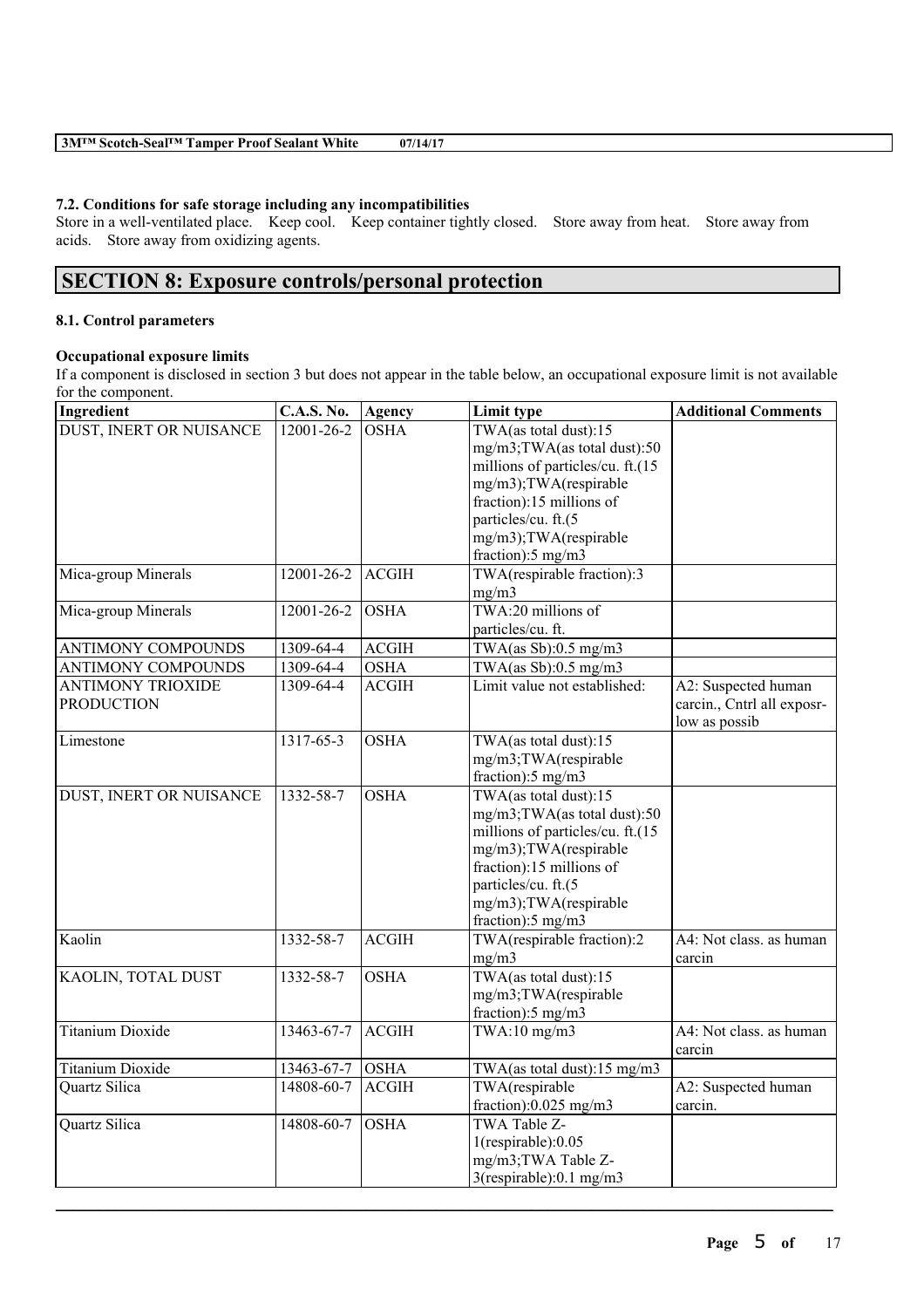| 3MTM Scotch-Seal™ Tamper Proof Sealant White<br>07/14/17 |
|----------------------------------------------------------|
|----------------------------------------------------------|

### **7.2. Conditions for safe storage including any incompatibilities**

Store in a well-ventilated place. Keep cool. Keep container tightly closed. Store away from heat. Store away from acids. Store away from oxidizing agents.

# **SECTION 8: Exposure controls/personal protection**

# **8.1. Control parameters**

# **Occupational exposure limits**

If a component is disclosed in section 3 but does not appear in the table below, an occupational exposure limit is not available for the component.

| Ingredient                | <b>C.A.S. No.</b>        | Agency       | Limit type                          | <b>Additional Comments</b> |
|---------------------------|--------------------------|--------------|-------------------------------------|----------------------------|
| DUST, INERT OR NUISANCE   | 12001-26-2               | <b>OSHA</b>  | TWA(as total dust):15               |                            |
|                           |                          |              | mg/m3;TWA(as total dust):50         |                            |
|                           |                          |              | millions of particles/cu. ft.(15    |                            |
|                           |                          |              | mg/m3);TWA(respirable               |                            |
|                           |                          |              | fraction):15 millions of            |                            |
|                           |                          |              | particles/cu. ft.(5                 |                            |
|                           |                          |              | mg/m3);TWA(respirable               |                            |
|                           |                          |              | fraction):5 mg/m3                   |                            |
| Mica-group Minerals       | 12001-26-2               | <b>ACGIH</b> | TWA(respirable fraction):3<br>mg/m3 |                            |
| Mica-group Minerals       | $\overline{12001}$ -26-2 | <b>OSHA</b>  | TWA:20 millions of                  |                            |
|                           |                          |              | particles/cu. ft.                   |                            |
| <b>ANTIMONY COMPOUNDS</b> | 1309-64-4                | <b>ACGIH</b> | TWA(as Sb):0.5 mg/m3                |                            |
| <b>ANTIMONY COMPOUNDS</b> | 1309-64-4                | <b>OSHA</b>  | TWA(as Sb):0.5 mg/m3                |                            |
| <b>ANTIMONY TRIOXIDE</b>  | 1309-64-4                | <b>ACGIH</b> | Limit value not established:        | A2: Suspected human        |
| <b>PRODUCTION</b>         |                          |              |                                     | carcin., Cntrl all exposr- |
|                           |                          |              |                                     | low as possib              |
| Limestone                 | $1317 - 65 - 3$          | <b>OSHA</b>  | TWA(as total dust):15               |                            |
|                           |                          |              | mg/m3;TWA(respirable                |                            |
|                           |                          |              | fraction):5 mg/m3                   |                            |
| DUST, INERT OR NUISANCE   | 1332-58-7                | <b>OSHA</b>  | TWA(as total dust):15               |                            |
|                           |                          |              | mg/m3;TWA(as total dust):50         |                            |
|                           |                          |              | millions of particles/cu. ft.(15    |                            |
|                           |                          |              | mg/m3);TWA(respirable               |                            |
|                           |                          |              | fraction):15 millions of            |                            |
|                           |                          |              | particles/cu. ft.(5                 |                            |
|                           |                          |              | mg/m3);TWA(respirable               |                            |
|                           |                          |              | fraction):5 mg/m3                   |                            |
| Kaolin                    | $1332 - 58 - 7$          | <b>ACGIH</b> | TWA(respirable fraction):2          | A4: Not class. as human    |
|                           |                          |              | mg/m3                               | carcin                     |
| KAOLIN, TOTAL DUST        | 1332-58-7                | <b>OSHA</b>  | TWA(as total dust):15               |                            |
|                           |                          |              | mg/m3;TWA(respirable                |                            |
|                           |                          |              | fraction):5 mg/m3                   |                            |
| <b>Titanium Dioxide</b>   | 13463-67-7               | <b>ACGIH</b> | $TWA:10$ mg/m3                      | A4: Not class. as human    |
|                           |                          |              |                                     | carcin                     |
| <b>Titanium Dioxide</b>   | 13463-67-7               | <b>OSHA</b>  | TWA(as total dust):15 mg/m3         |                            |
| Quartz Silica             | 14808-60-7               | <b>ACGIH</b> | TWA(respirable                      | A2: Suspected human        |
|                           |                          |              | fraction):0.025 mg/m3               | carcin.                    |
| Quartz Silica             | 14808-60-7               | <b>OSHA</b>  | <b>TWA Table Z-</b>                 |                            |
|                           |                          |              | $1$ (respirable): $0.05$            |                            |
|                           |                          |              | mg/m3;TWA Table Z-                  |                            |
|                           |                          |              | 3(respirable):0.1 mg/m3             |                            |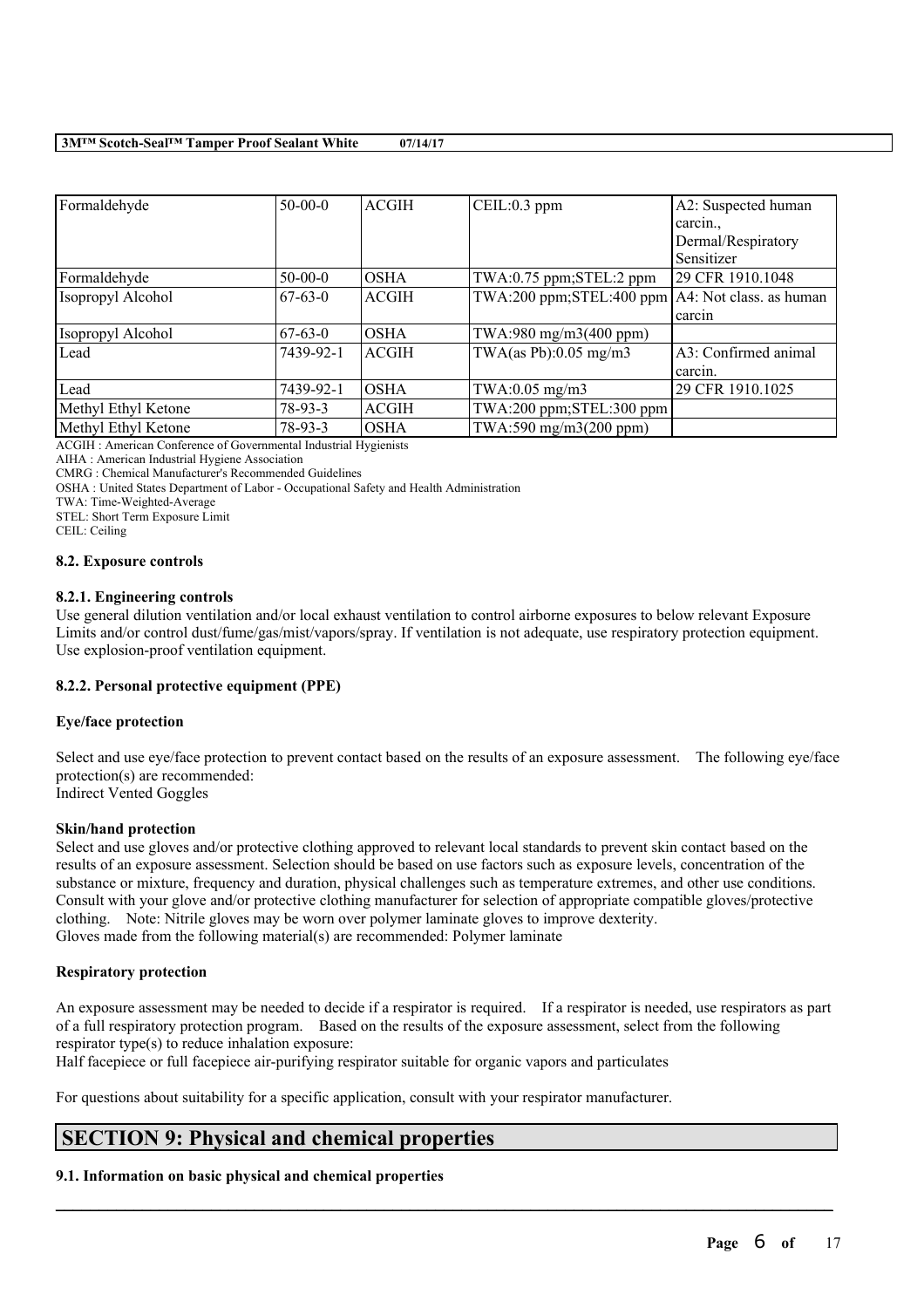| Formaldehyde        | $50-00-0$ | <b>ACGIH</b> | CEIL: 0.3 ppm                                           | A2: Suspected human  |
|---------------------|-----------|--------------|---------------------------------------------------------|----------------------|
|                     |           |              |                                                         | carcin               |
|                     |           |              |                                                         | Dermal/Respiratory   |
|                     |           |              |                                                         | Sensitizer           |
| Formaldehyde        | $50-00-0$ | <b>OSHA</b>  | TWA:0.75 ppm;STEL:2 ppm                                 | 29 CFR 1910.1048     |
| Isopropyl Alcohol   | $67-63-0$ | <b>ACGIH</b> | $TWA:200$ ppm; $STEL:400$ ppm $AA:$ Not class. as human |                      |
|                     |           |              |                                                         | carcin               |
| Isopropyl Alcohol   | $67-63-0$ | <b>OSHA</b>  | TWA:980 mg/m3(400 ppm)                                  |                      |
| Lead                | 7439-92-1 | <b>ACGIH</b> | TWA(as Pb): $0.05$ mg/m3                                | A3: Confirmed animal |
|                     |           |              |                                                         | carcin.              |
| Lead                | 7439-92-1 | <b>OSHA</b>  | $TWA:0.05$ mg/m $3$                                     | 29 CFR 1910.1025     |
| Methyl Ethyl Ketone | 78-93-3   | <b>ACGIH</b> | TWA:200 ppm;STEL:300 ppm                                |                      |
| Methyl Ethyl Ketone | 78-93-3   | <b>OSHA</b>  | TWA:590 mg/m3(200 ppm)                                  |                      |

ACGIH : American Conference of Governmental Industrial Hygienists

AIHA : American Industrial Hygiene Association

CMRG : Chemical Manufacturer's Recommended Guidelines

OSHA : United States Department of Labor - Occupational Safety and Health Administration

TWA: Time-Weighted-Average

STEL: Short Term Exposure Limit

CEIL: Ceiling

#### **8.2. Exposure controls**

#### **8.2.1. Engineering controls**

Use general dilution ventilation and/or local exhaust ventilation to control airborne exposures to below relevant Exposure Limits and/or control dust/fume/gas/mist/vapors/spray. If ventilation is not adequate, use respiratory protection equipment. Use explosion-proof ventilation equipment.

### **8.2.2. Personal protective equipment (PPE)**

#### **Eye/face protection**

Select and use eye/face protection to prevent contact based on the results of an exposure assessment. The following eye/face protection(s) are recommended: Indirect Vented Goggles

#### **Skin/hand protection**

Select and use gloves and/or protective clothing approved to relevant local standards to prevent skin contact based on the results of an exposure assessment. Selection should be based on use factors such as exposure levels, concentration of the substance or mixture, frequency and duration, physical challenges such as temperature extremes, and other use conditions. Consult with your glove and/or protective clothing manufacturer for selection of appropriate compatible gloves/protective clothing. Note: Nitrile gloves may be worn over polymer laminate gloves to improve dexterity. Gloves made from the following material(s) are recommended: Polymer laminate

#### **Respiratory protection**

An exposure assessment may be needed to decide if a respirator is required. If a respirator is needed, use respirators as part of a full respiratory protection program. Based on the results of the exposure assessment, select from the following respirator type(s) to reduce inhalation exposure:

 $\mathcal{L}_\mathcal{L} = \mathcal{L}_\mathcal{L} = \mathcal{L}_\mathcal{L} = \mathcal{L}_\mathcal{L} = \mathcal{L}_\mathcal{L} = \mathcal{L}_\mathcal{L} = \mathcal{L}_\mathcal{L} = \mathcal{L}_\mathcal{L} = \mathcal{L}_\mathcal{L} = \mathcal{L}_\mathcal{L} = \mathcal{L}_\mathcal{L} = \mathcal{L}_\mathcal{L} = \mathcal{L}_\mathcal{L} = \mathcal{L}_\mathcal{L} = \mathcal{L}_\mathcal{L} = \mathcal{L}_\mathcal{L} = \mathcal{L}_\mathcal{L}$ 

Half facepiece or full facepiece air-purifying respirator suitable for organic vapors and particulates

For questions about suitability for a specific application, consult with your respirator manufacturer.

# **SECTION 9: Physical and chemical properties**

# **9.1. Information on basic physical and chemical properties**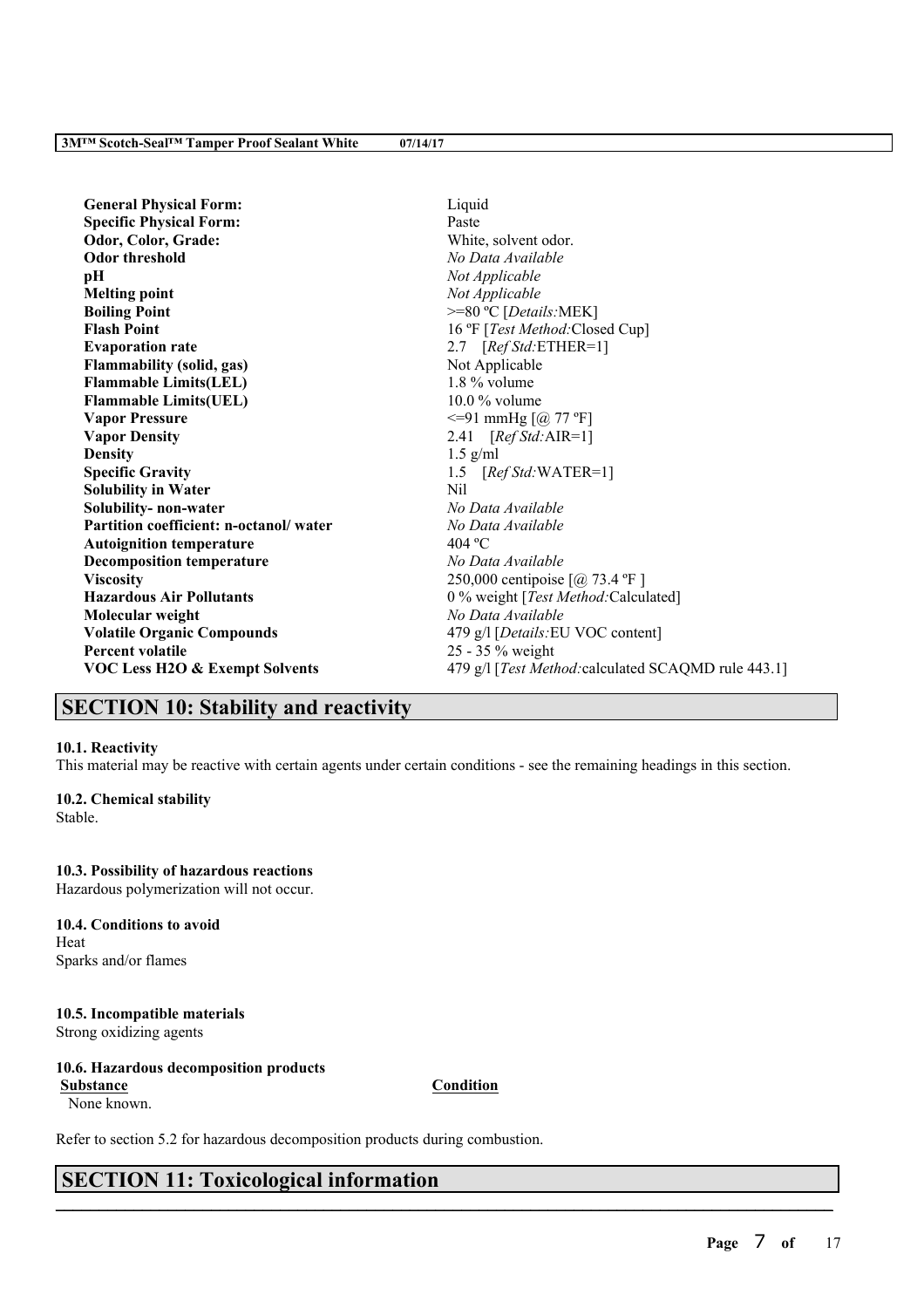| <b>General Physical Form:</b>             | Liquid                                              |
|-------------------------------------------|-----------------------------------------------------|
| <b>Specific Physical Form:</b>            | Paste                                               |
| Odor, Color, Grade:                       | White, solvent odor.                                |
| <b>Odor threshold</b>                     | No Data Available                                   |
| pН                                        | Not Applicable                                      |
| <b>Melting point</b>                      | Not Applicable                                      |
| <b>Boiling Point</b>                      | >=80 °C [Details:MEK]                               |
| <b>Flash Point</b>                        | 16 °F [Test Method: Closed Cup]                     |
| <b>Evaporation rate</b>                   | 2.7 [Ref Std: ETHER=1]                              |
| <b>Flammability (solid, gas)</b>          | Not Applicable                                      |
| <b>Flammable Limits(LEL)</b>              | 1.8 % volume                                        |
| <b>Flammable Limits(UEL)</b>              | $10.0\%$ volume                                     |
| <b>Vapor Pressure</b>                     | $\leq$ =91 mmHg [@ 77 °F]                           |
| <b>Vapor Density</b>                      | 2.41 $[RefStd:AIR=1]$                               |
| <b>Density</b>                            | $1.5$ g/ml                                          |
| <b>Specific Gravity</b>                   | 1.5 $[RefStd:WATER=1]$                              |
| <b>Solubility in Water</b>                | Nil                                                 |
| Solubility- non-water                     | No Data Available                                   |
| Partition coefficient: n-octanol/water    | No Data Available                                   |
| <b>Autoignition temperature</b>           | 404 °C                                              |
| <b>Decomposition temperature</b>          | No Data Available                                   |
| <b>Viscosity</b>                          | 250,000 centipoise [@ 73.4 °F ]                     |
| <b>Hazardous Air Pollutants</b>           | 0 % weight [Test Method: Calculated]                |
| Molecular weight                          | No Data Available                                   |
| <b>Volatile Organic Compounds</b>         | 479 g/l [Details: EU VOC content]                   |
| <b>Percent volatile</b>                   | $25 - 35 \%$ weight                                 |
| <b>VOC Less H2O &amp; Exempt Solvents</b> | 479 g/l [Test Method: calculated SCAQMD rule 443.1] |
|                                           |                                                     |

# **SECTION 10: Stability and reactivity**

# **10.1. Reactivity**

This material may be reactive with certain agents under certain conditions - see the remaining headings in this section.

### **10.2. Chemical stability**

Stable.

#### **10.3. Possibility of hazardous reactions**

Hazardous polymerization will not occur.

**10.4. Conditions to avoid** Heat Sparks and/or flames

**10.5. Incompatible materials** Strong oxidizing agents

# **10.6. Hazardous decomposition products**

**Substance Condition**

None known.

 $\mathcal{L}_\mathcal{L} = \mathcal{L}_\mathcal{L} = \mathcal{L}_\mathcal{L} = \mathcal{L}_\mathcal{L} = \mathcal{L}_\mathcal{L} = \mathcal{L}_\mathcal{L} = \mathcal{L}_\mathcal{L} = \mathcal{L}_\mathcal{L} = \mathcal{L}_\mathcal{L} = \mathcal{L}_\mathcal{L} = \mathcal{L}_\mathcal{L} = \mathcal{L}_\mathcal{L} = \mathcal{L}_\mathcal{L} = \mathcal{L}_\mathcal{L} = \mathcal{L}_\mathcal{L} = \mathcal{L}_\mathcal{L} = \mathcal{L}_\mathcal{L}$ 

Refer to section 5.2 for hazardous decomposition products during combustion.

# **SECTION 11: Toxicological information**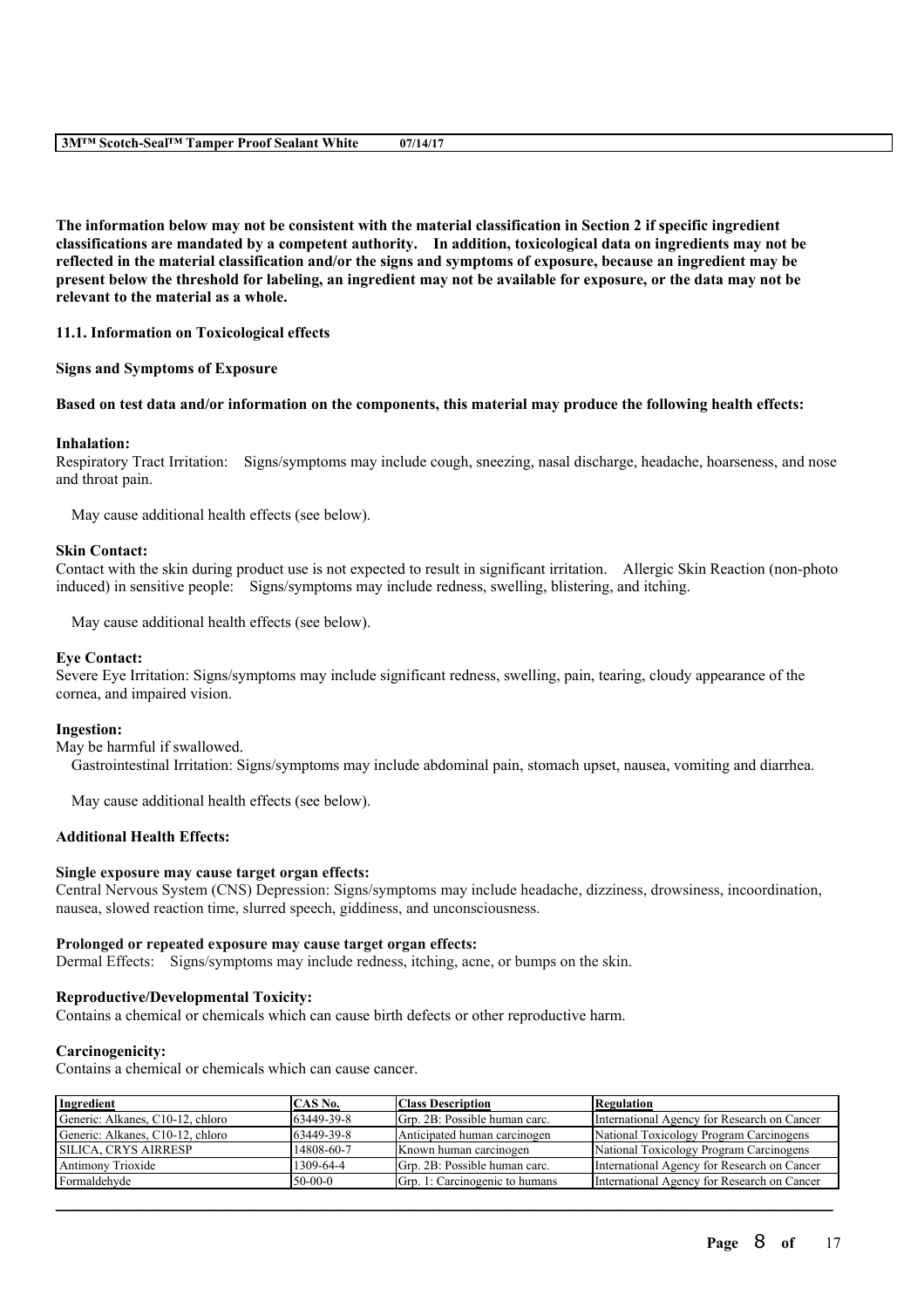The information below may not be consistent with the material classification in Section 2 if specific ingredient **classifications are mandated by a competent authority. In addition, toxicological data on ingredients may not be** reflected in the material classification and/or the signs and symptoms of exposure, because an ingredient may be present below the threshold for labeling, an ingredient may not be available for exposure, or the data may not be **relevant to the material as a whole.**

### **11.1. Information on Toxicological effects**

### **Signs and Symptoms of Exposure**

### Based on test data and/or information on the components, this material may produce the following health effects:

#### **Inhalation:**

Respiratory Tract Irritation: Signs/symptoms may include cough, sneezing, nasal discharge, headache, hoarseness, and nose and throat pain.

May cause additional health effects (see below).

#### **Skin Contact:**

Contact with the skin during product use is not expected to result in significant irritation. Allergic Skin Reaction (non-photo induced) in sensitive people: Signs/symptoms may include redness, swelling, blistering, and itching.

May cause additional health effects (see below).

#### **Eye Contact:**

Severe Eye Irritation: Signs/symptoms may include significant redness, swelling, pain, tearing, cloudy appearance of the cornea, and impaired vision.

#### **Ingestion:**

May be harmful if swallowed.

Gastrointestinal Irritation: Signs/symptoms may include abdominal pain, stomach upset, nausea, vomiting and diarrhea.

May cause additional health effects (see below).

#### **Additional Health Effects:**

#### **Single exposure may cause target organ effects:**

Central Nervous System (CNS) Depression: Signs/symptoms may include headache, dizziness, drowsiness, incoordination, nausea, slowed reaction time, slurred speech, giddiness, and unconsciousness.

#### **Prolonged or repeated exposure may cause target organ effects:**

Dermal Effects: Signs/symptoms may include redness, itching, acne, or bumps on the skin.

#### **Reproductive/Developmental Toxicity:**

Contains a chemical or chemicals which can cause birth defects or other reproductive harm.

#### **Carcinogenicity:**

Contains a chemical or chemicals which can cause cancer.

| Ingredient                       | CAS No.    | <b>Class Description</b>       | Regulation                                  |
|----------------------------------|------------|--------------------------------|---------------------------------------------|
| Generic: Alkanes, C10-12, chloro | 63449-39-8 | Grp. 2B: Possible human carc.  | International Agency for Research on Cancer |
| Generic: Alkanes, C10-12, chloro | 63449-39-8 | Anticipated human carcinogen   | National Toxicology Program Carcinogens     |
| <b>SILICA. CRYS AIRRESP</b>      | 14808-60-7 | Known human carcinogen         | National Toxicology Program Carcinogens     |
| Antimony Trioxide                | 1309-64-4  | Grp. 2B: Possible human carc.  | International Agency for Research on Cancer |
| Formaldehyde                     | $50-00-0$  | Grp. 1: Carcinogenic to humans | International Agency for Research on Cancer |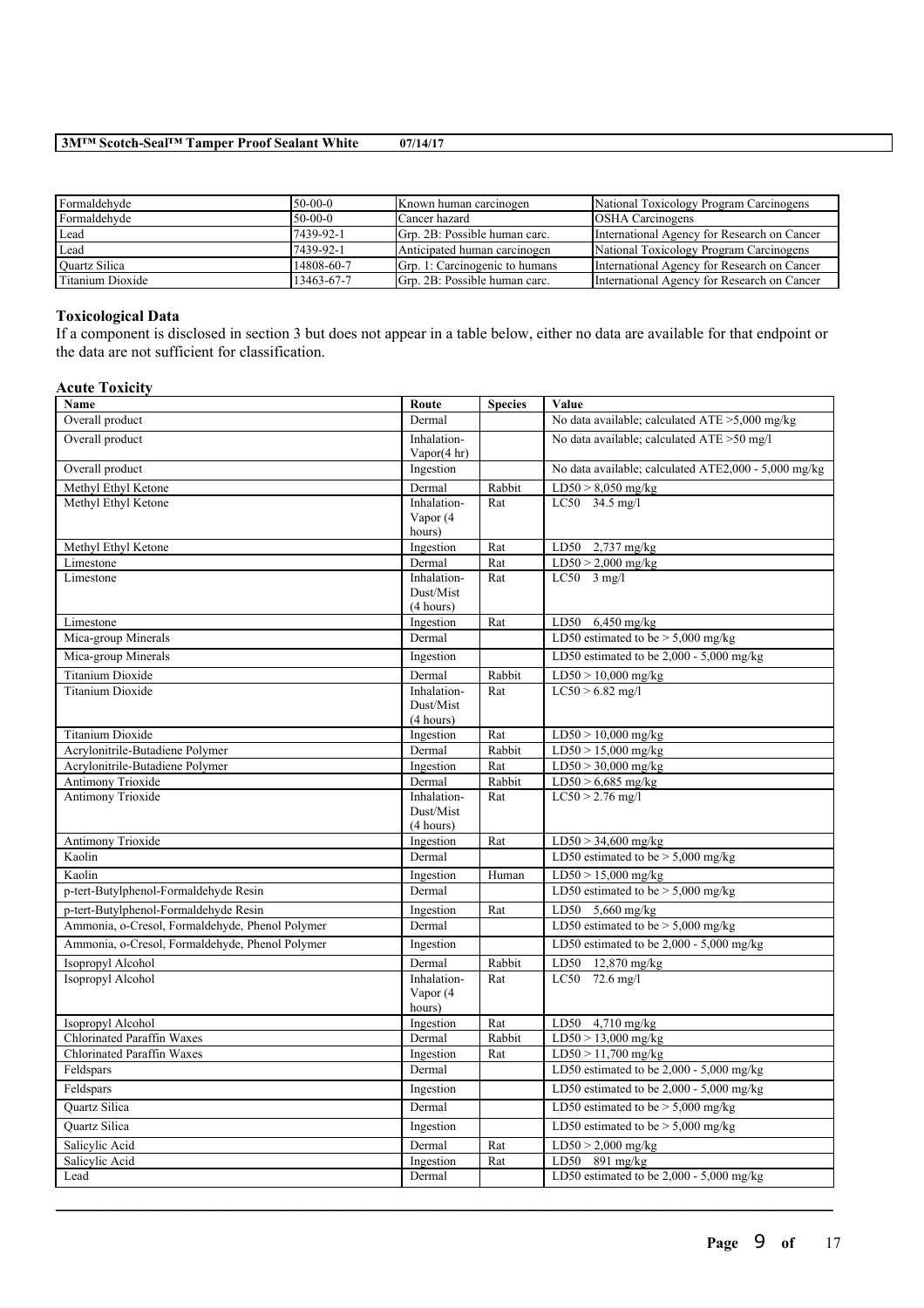| Formaldehyde         | $50-00-0$  | Known human carcinogen         | National Toxicology Program Carcinogens     |
|----------------------|------------|--------------------------------|---------------------------------------------|
| Formaldehyde         | $50-00-0$  | Cancer hazard                  | <b>OSHA</b> Carcinogens                     |
| Lead                 | 7439-92-1  | Grp. 2B: Possible human carc.  | International Agency for Research on Cancer |
| Lead                 | 7439-92-1  | Anticipated human carcinogen   | National Toxicology Program Carcinogens     |
| <b>Ouartz Silica</b> | 14808-60-7 | Grp. 1: Carcinogenic to humans | International Agency for Research on Cancer |
| Titanium Dioxide     | 13463-67-7 | Grp. 2B: Possible human carc.  | International Agency for Research on Cancer |

# **Toxicological Data**

If a component is disclosed in section 3 but does not appear in a table below, either no data are available for that endpoint or the data are not sufficient for classification.

# **Acute Toxicity**

| Name                                            | Route                                 | <b>Species</b> | Value                                                |
|-------------------------------------------------|---------------------------------------|----------------|------------------------------------------------------|
| Overall product                                 | Dermal                                |                | No data available; calculated $ATE > 5,000$ mg/kg    |
| Overall product                                 | Inhalation-<br>Vapor $(4 \text{ hr})$ |                | No data available; calculated ATE >50 mg/l           |
| Overall product                                 | Ingestion                             |                | No data available; calculated ATE2,000 - 5,000 mg/kg |
| Methyl Ethyl Ketone                             | Dermal                                | Rabbit         | $LD50 > 8,050$ mg/kg                                 |
| Methyl Ethyl Ketone                             | Inhalation-<br>Vapor (4<br>hours)     | Rat            | $LC50$ 34.5 mg/l                                     |
| Methyl Ethyl Ketone                             | Ingestion                             | Rat            | LD50 $2,737$ mg/kg                                   |
| Limestone                                       | Dermal                                | Rat            | $LD50 > 2,000$ mg/kg                                 |
| Limestone                                       | Inhalation-<br>Dust/Mist<br>(4 hours) | Rat            | $LC50$ 3 mg/l                                        |
| Limestone                                       | Ingestion                             | Rat            | $LD50$ 6,450 mg/kg                                   |
| Mica-group Minerals                             | Dermal                                |                | LD50 estimated to be $> 5,000$ mg/kg                 |
| Mica-group Minerals                             | Ingestion                             |                | LD50 estimated to be $2,000 - 5,000$ mg/kg           |
| Titanium Dioxide                                | Dermal                                | Rabbit         | $LD50 > 10,000$ mg/kg                                |
| <b>Titanium Dioxide</b>                         | Inhalation-<br>Dust/Mist<br>(4 hours) | Rat            | $LC50 > 6.82$ mg/l                                   |
| <b>Titanium Dioxide</b>                         | Ingestion                             | Rat            | $LD50 > 10,000$ mg/kg                                |
| Acrylonitrile-Butadiene Polymer                 | Dermal                                | Rabbit         | $LD50 > 15,000$ mg/kg                                |
| Acrylonitrile-Butadiene Polymer                 | Ingestion                             | Rat            | $LD50 > 30,000$ mg/kg                                |
| Antimony Trioxide                               | Dermal                                | Rabbit         | $LD50 > 6,685$ mg/kg                                 |
| Antimony Trioxide                               | Inhalation-<br>Dust/Mist<br>(4 hours) | Rat            | $LC50 > 2.76$ mg/l                                   |
| Antimony Trioxide                               | Ingestion                             | Rat            | $LD50 > 34,600$ mg/kg                                |
| Kaolin                                          | Dermal                                |                | LD50 estimated to be $> 5,000$ mg/kg                 |
| Kaolin                                          | Ingestion                             | Human          | $LD50 > 15,000$ mg/kg                                |
| p-tert-Butylphenol-Formaldehyde Resin           | Dermal                                |                | LD50 estimated to be $> 5,000$ mg/kg                 |
| p-tert-Butylphenol-Formaldehyde Resin           | Ingestion                             | Rat            | LD50 $5,660$ mg/kg                                   |
| Ammonia, o-Cresol, Formaldehyde, Phenol Polymer | Dermal                                |                | LD50 estimated to be $> 5,000$ mg/kg                 |
| Ammonia, o-Cresol, Formaldehyde, Phenol Polymer | Ingestion                             |                | LD50 estimated to be $2,000 - 5,000$ mg/kg           |
| Isopropyl Alcohol                               | Dermal                                | Rabbit         | LD50 12,870 mg/kg                                    |
| Isopropyl Alcohol                               | Inhalation-<br>Vapor (4<br>hours)     | Rat            | LC50 72.6 mg/l                                       |
| Isopropyl Alcohol                               | Ingestion                             | Rat            | LD50 $4,710$ mg/kg                                   |
| Chlorinated Paraffin Waxes                      | Dermal                                | Rabbit         | $LD50 > 13,000$ mg/kg                                |
| Chlorinated Paraffin Waxes                      | Ingestion                             | Rat            | $LD50 > 11,700$ mg/kg                                |
| Feldspars                                       | Dermal                                |                | LD50 estimated to be $2,000 - 5,000$ mg/kg           |
| Feldspars                                       | Ingestion                             |                | LD50 estimated to be $2,000 - 5,000$ mg/kg           |
| <b>Ouartz Silica</b>                            | Dermal                                |                | LD50 estimated to be $>$ 5,000 mg/kg                 |
| <b>Ouartz Silica</b>                            | Ingestion                             |                | LD50 estimated to be $> 5,000$ mg/kg                 |
| Salicylic Acid                                  | Dermal                                | Rat            | $LD50 > 2,000$ mg/kg                                 |
| Salicylic Acid                                  | Ingestion                             | Rat            | LD50 891 mg/kg                                       |
| Lead                                            | Dermal                                |                | LD50 estimated to be $2,000 - 5,000$ mg/kg           |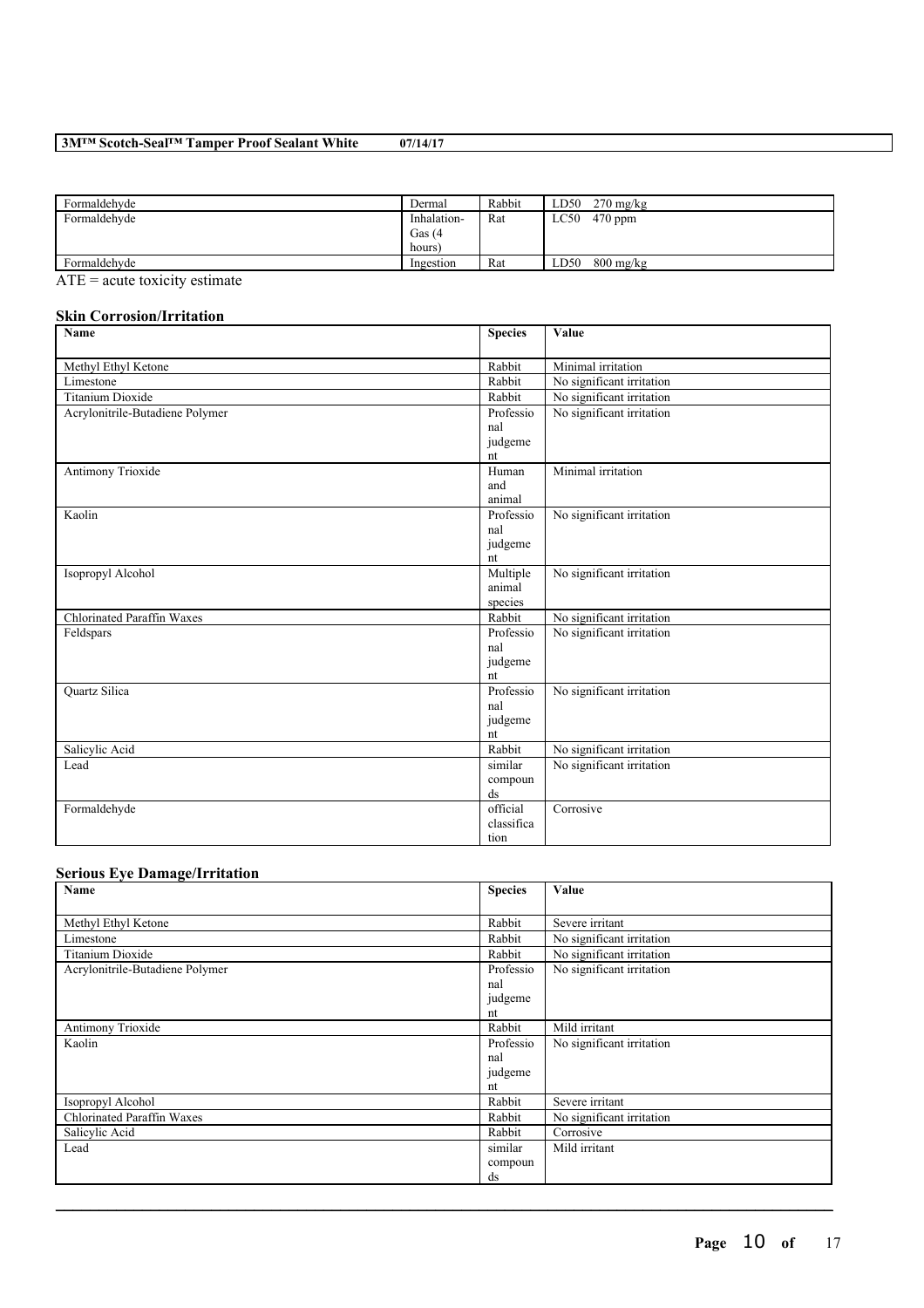| Formaldehyde | Dermal      | Rabbit | $270 \text{ mg/kg}$<br>LD50 |
|--------------|-------------|--------|-----------------------------|
| Formaldehyde | Inhalation- | Rat    | $470$ ppm<br>LC50           |
|              | Gas $(4)$   |        |                             |
|              | hours)      |        |                             |
| Formaldehyde | Ingestion   | Rat    | $800 \text{ mg/kg}$<br>LD50 |
| ____         |             |        |                             |

 $\overline{ATE}$  = acute toxicity estimate

# **Skin Corrosion/Irritation**

| Name                            | <b>Species</b>         | Value                     |
|---------------------------------|------------------------|---------------------------|
| Methyl Ethyl Ketone             | Rabbit                 | Minimal irritation        |
| Limestone                       | Rabbit                 | No significant irritation |
| <b>Titanium Dioxide</b>         | Rabbit                 | No significant irritation |
| Acrylonitrile-Butadiene Polymer | Professio              | No significant irritation |
|                                 | nal                    |                           |
|                                 | judgeme                |                           |
|                                 | nt                     |                           |
| Antimony Trioxide               | Human                  | Minimal irritation        |
|                                 | and                    |                           |
|                                 | animal                 |                           |
| Kaolin                          | Professio              | No significant irritation |
|                                 | nal                    |                           |
|                                 | judgeme                |                           |
|                                 | nt                     |                           |
| Isopropyl Alcohol               | Multiple               | No significant irritation |
|                                 | animal                 |                           |
|                                 | species                |                           |
| Chlorinated Paraffin Waxes      | Rabbit                 | No significant irritation |
| Feldspars                       | Professio              | No significant irritation |
|                                 | nal                    |                           |
|                                 | judgeme                |                           |
|                                 | nt                     |                           |
| <b>Ouartz Silica</b>            | Professio              | No significant irritation |
|                                 | nal                    |                           |
|                                 | judgeme                |                           |
|                                 | nt                     |                           |
| Salicylic Acid                  | Rabbit                 | No significant irritation |
| Lead                            | similar                | No significant irritation |
|                                 | compoun                |                           |
|                                 | $\mathrm{d}\mathrm{s}$ |                           |
| Formaldehyde                    | official               | Corrosive                 |
|                                 | classifica             |                           |
|                                 | tion                   |                           |

# **Serious Eye Damage/Irritation**

| Name                            | <b>Species</b> | Value                     |
|---------------------------------|----------------|---------------------------|
|                                 |                |                           |
| Methyl Ethyl Ketone             | Rabbit         | Severe irritant           |
| Limestone                       | Rabbit         | No significant irritation |
| <b>Titanium Dioxide</b>         | Rabbit         | No significant irritation |
| Acrylonitrile-Butadiene Polymer | Professio      | No significant irritation |
|                                 | nal            |                           |
|                                 | judgeme        |                           |
|                                 | nt             |                           |
| Antimony Trioxide               | Rabbit         | Mild irritant             |
| Kaolin                          | Professio      | No significant irritation |
|                                 | nal            |                           |
|                                 | judgeme        |                           |
|                                 | nt             |                           |
| Isopropyl Alcohol               | Rabbit         | Severe irritant           |
| Chlorinated Paraffin Waxes      | Rabbit         | No significant irritation |
| Salicylic Acid                  | Rabbit         | Corrosive                 |
| Lead                            | similar        | Mild irritant             |
|                                 | compoun        |                           |
|                                 | ds             |                           |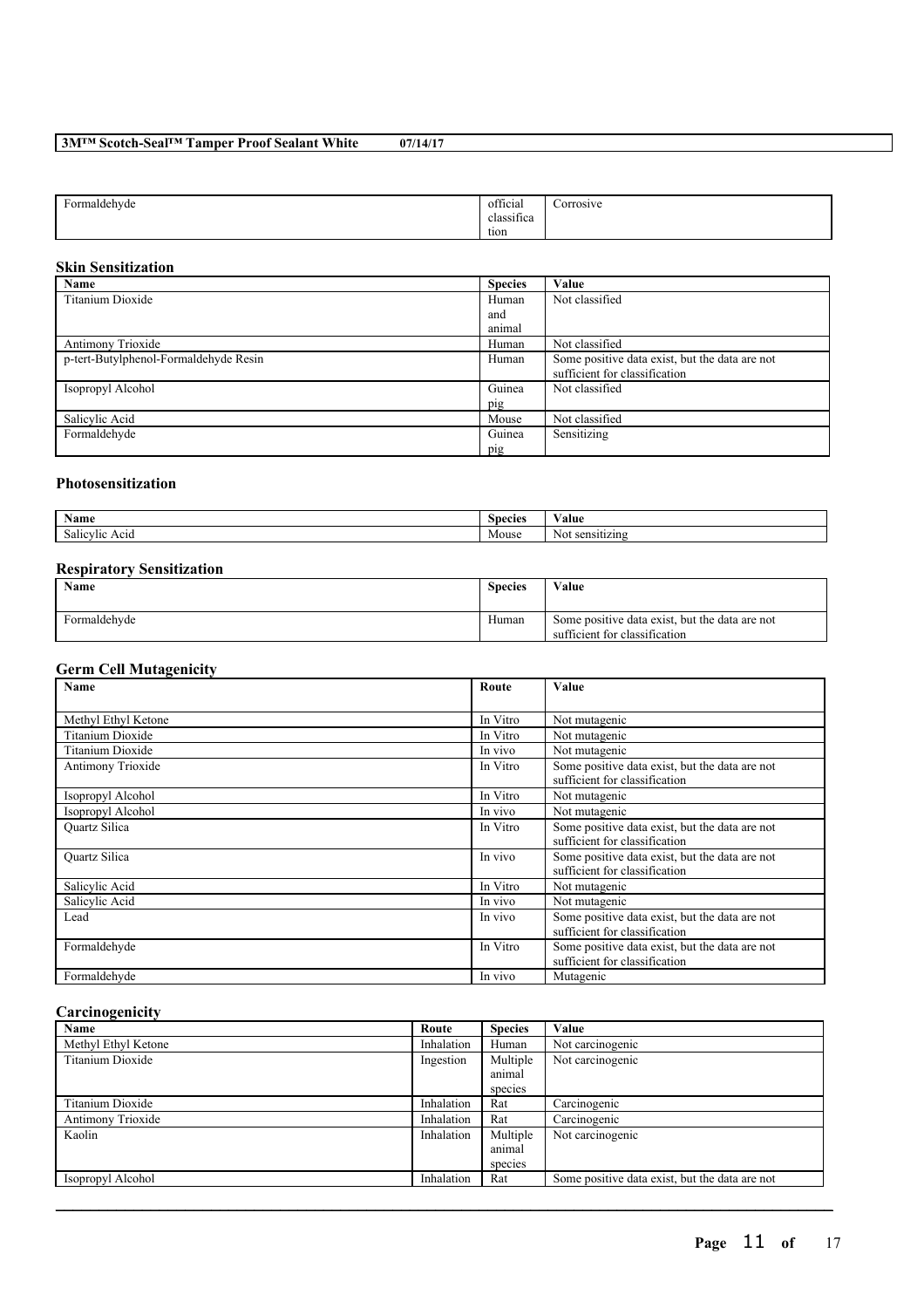| $\mathbf{r}$<br>Formaldehyde | $\sim$<br>$\cdot$<br>official | Corrosive |
|------------------------------|-------------------------------|-----------|
|                              | $\sim$<br>classifica          |           |
|                              | tion                          |           |

# **Skin Sensitization**

| Name                                  | <b>Species</b> | Value                                          |
|---------------------------------------|----------------|------------------------------------------------|
| <b>Titanium Dioxide</b>               | Human          | Not classified                                 |
|                                       | and            |                                                |
|                                       | animal         |                                                |
| Antimony Trioxide                     | Human          | Not classified                                 |
| p-tert-Butylphenol-Formaldehyde Resin | Human          | Some positive data exist, but the data are not |
|                                       |                | sufficient for classification                  |
| Isopropyl Alcohol                     | Guinea         | Not classified                                 |
|                                       | pig            |                                                |
| Salicylic Acid                        | Mouse          | Not classified                                 |
| Formaldehyde                          | Guinea         | Sensitizing                                    |
|                                       | pig            |                                                |

# **Photosensitization**

|                             | $\sim$         | $\mathbf{v}$       |
|-----------------------------|----------------|--------------------|
| Name                        | <b>Species</b> | ⁄ alue             |
| $\sim$<br>Acid<br>Salicylic | Mouse          | sensitizing<br>NO. |

# **Respiratory Sensitization**

| Name         | <b>Species</b> | Value                                                                           |
|--------------|----------------|---------------------------------------------------------------------------------|
| Formaldehyde | Human          | Some positive data exist, but the data are not<br>sufficient for classification |

# **Germ Cell Mutagenicity**

| Name                 | Route    | Value                                                                           |
|----------------------|----------|---------------------------------------------------------------------------------|
|                      |          |                                                                                 |
| Methyl Ethyl Ketone  | In Vitro | Not mutagenic                                                                   |
| Titanium Dioxide     | In Vitro | Not mutagenic                                                                   |
| Titanium Dioxide     | In vivo  | Not mutagenic                                                                   |
| Antimony Trioxide    | In Vitro | Some positive data exist, but the data are not<br>sufficient for classification |
| Isopropyl Alcohol    | In Vitro | Not mutagenic                                                                   |
| Isopropyl Alcohol    | In vivo  | Not mutagenic                                                                   |
| <b>Ouartz Silica</b> | In Vitro | Some positive data exist, but the data are not                                  |
|                      |          | sufficient for classification                                                   |
| <b>Ouartz Silica</b> | In vivo  | Some positive data exist, but the data are not                                  |
|                      |          | sufficient for classification                                                   |
| Salicylic Acid       | In Vitro | Not mutagenic                                                                   |
| Salicylic Acid       | In vivo  | Not mutagenic                                                                   |
| Lead                 | In vivo  | Some positive data exist, but the data are not                                  |
|                      |          | sufficient for classification                                                   |
| Formaldehyde         | In Vitro | Some positive data exist, but the data are not                                  |
|                      |          | sufficient for classification                                                   |
| Formaldehyde         | In vivo  | Mutagenic                                                                       |

# **Carcinogenicity**

| Name                | Route      | <b>Species</b> | Value                                          |
|---------------------|------------|----------------|------------------------------------------------|
| Methyl Ethyl Ketone | Inhalation | Human          | Not carcinogenic                               |
| Titanium Dioxide    | Ingestion  | Multiple       | Not carcinogenic                               |
|                     |            | animal         |                                                |
|                     |            | species        |                                                |
| Titanium Dioxide    | Inhalation | Rat            | Carcinogenic                                   |
| Antimony Trioxide   | Inhalation | Rat            | Carcinogenic                                   |
| Kaolin              | Inhalation | Multiple       | Not carcinogenic                               |
|                     |            | animal         |                                                |
|                     |            | species        |                                                |
| Isopropyl Alcohol   | Inhalation | Rat            | Some positive data exist, but the data are not |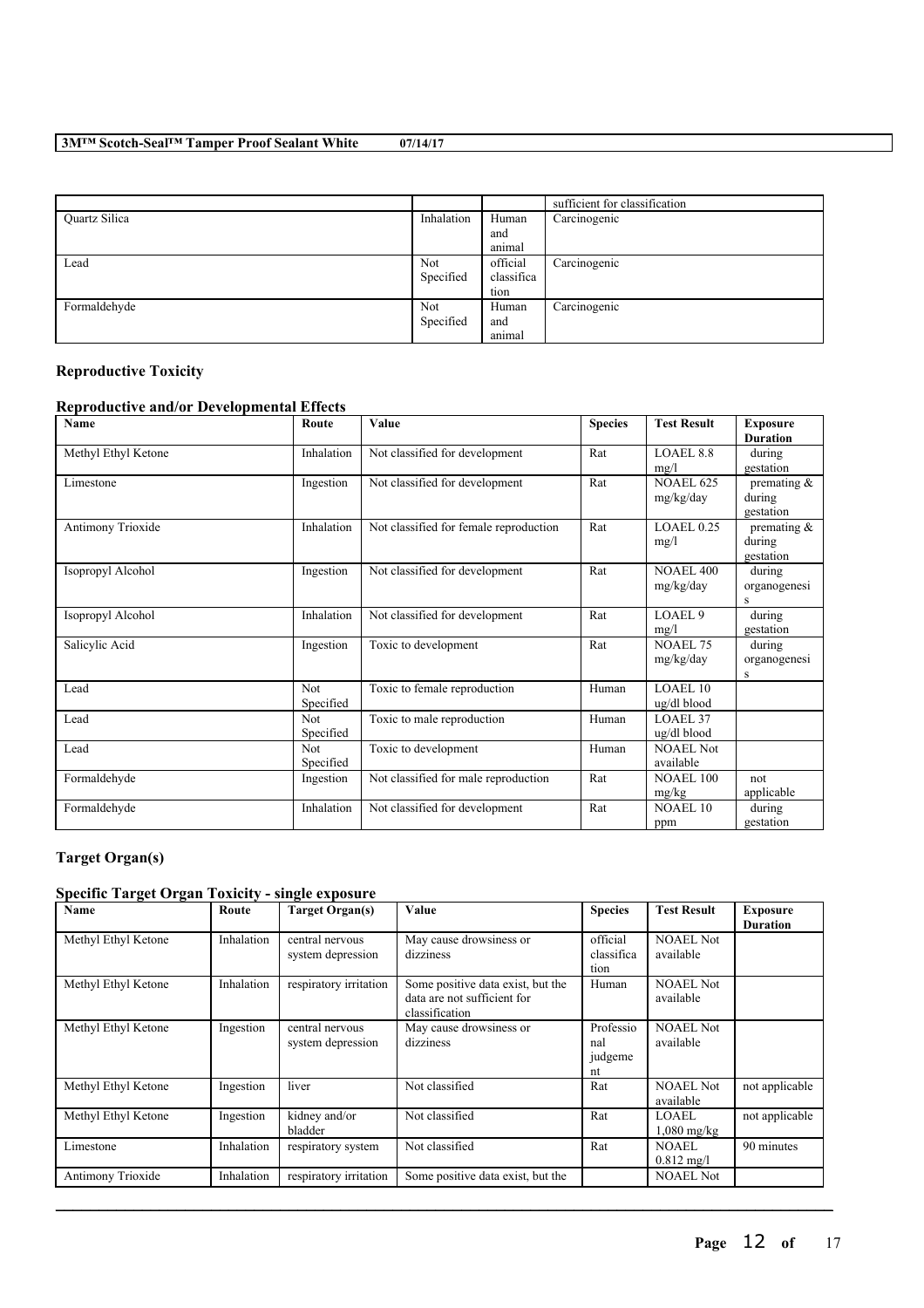|               |            |            | sufficient for classification |
|---------------|------------|------------|-------------------------------|
| Quartz Silica | Inhalation | Human      | Carcinogenic                  |
|               |            | and        |                               |
|               |            | animal     |                               |
| Lead          | Not        | official   | Carcinogenic                  |
|               | Specified  | classifica |                               |
|               |            | tion       |                               |
| Formaldehyde  | <b>Not</b> | Human      | Carcinogenic                  |
|               | Specified  | and        |                               |
|               |            | animal     |                               |

# **Reproductive Toxicity**

# **Reproductive and/or Developmental Effects**

| <b>Name</b>         | Route                   | Value                                  | <b>Species</b> | <b>Test Result</b>            | <b>Exposure</b><br><b>Duration</b>                        |
|---------------------|-------------------------|----------------------------------------|----------------|-------------------------------|-----------------------------------------------------------|
| Methyl Ethyl Ketone | Inhalation              | Not classified for development         | Rat            | LOAEL 8.8<br>mg/l             | during<br>gestation                                       |
| Limestone           | Ingestion               | Not classified for development         | Rat            | <b>NOAEL 625</b><br>mg/kg/day | premating &<br>during<br>gestation                        |
| Antimony Trioxide   | Inhalation              | Not classified for female reproduction | Rat            | LOAEL 0.25<br>mg/l            | premating $\overline{\mathcal{K}}$<br>during<br>gestation |
| Isopropyl Alcohol   | Ingestion               | Not classified for development         | Rat            | <b>NOAEL 400</b><br>mg/kg/day | during<br>organogenesi<br>S                               |
| Isopropyl Alcohol   | Inhalation              | Not classified for development         | Rat            | LOAEL <sub>9</sub><br>mg/l    | during<br>gestation                                       |
| Salicylic Acid      | Ingestion               | Toxic to development                   | Rat            | <b>NOAEL 75</b><br>mg/kg/day  | during<br>organogenesi<br>S                               |
| Lead                | <b>Not</b><br>Specified | Toxic to female reproduction           | Human          | LOAEL 10<br>ug/dl blood       |                                                           |
| Lead                | <b>Not</b><br>Specified | Toxic to male reproduction             | Human          | LOAEL 37<br>ug/dl blood       |                                                           |
| Lead                | <b>Not</b><br>Specified | Toxic to development                   | Human          | <b>NOAEL Not</b><br>available |                                                           |
| Formaldehyde        | Ingestion               | Not classified for male reproduction   | Rat            | <b>NOAEL 100</b><br>mg/kg     | not<br>applicable                                         |
| Formaldehyde        | Inhalation              | Not classified for development         | Rat            | <b>NOAEL 10</b><br>ppm        | during<br>gestation                                       |

# **Target Organ(s)**

# **Specific Target Organ Toxicity - single exposure**

| Name                | Route      | <b>Target Organ(s)</b> | Value                             | <b>Species</b> | <b>Test Result</b>   | <b>Exposure</b> |
|---------------------|------------|------------------------|-----------------------------------|----------------|----------------------|-----------------|
|                     |            |                        |                                   |                |                      | <b>Duration</b> |
| Methyl Ethyl Ketone | Inhalation | central nervous        | May cause drowsiness or           | official       | <b>NOAEL Not</b>     |                 |
|                     |            | system depression      | dizziness                         | classifica     | available            |                 |
|                     |            |                        |                                   | tion           |                      |                 |
| Methyl Ethyl Ketone | Inhalation | respiratory irritation | Some positive data exist, but the | Human          | <b>NOAEL Not</b>     |                 |
|                     |            |                        | data are not sufficient for       |                | available            |                 |
|                     |            |                        | classification                    |                |                      |                 |
| Methyl Ethyl Ketone | Ingestion  | central nervous        | May cause drowsiness or           | Professio      | <b>NOAEL Not</b>     |                 |
|                     |            | system depression      | dizziness                         | nal            | available            |                 |
|                     |            |                        |                                   | judgeme        |                      |                 |
|                     |            |                        |                                   | nt             |                      |                 |
| Methyl Ethyl Ketone | Ingestion  | liver                  | Not classified                    | Rat            | <b>NOAEL Not</b>     | not applicable  |
|                     |            |                        |                                   |                | available            |                 |
| Methyl Ethyl Ketone | Ingestion  | kidney and/or          | Not classified                    | Rat            | LOAEL.               | not applicable  |
|                     |            | bladder                |                                   |                | $1.080$ mg/kg        |                 |
| Limestone           | Inhalation | respiratory system     | Not classified                    | Rat            | <b>NOAEL</b>         | 90 minutes      |
|                     |            |                        |                                   |                | $0.812 \text{ mg/l}$ |                 |
| Antimony Trioxide   | Inhalation | respiratory irritation | Some positive data exist, but the |                | <b>NOAEL Not</b>     |                 |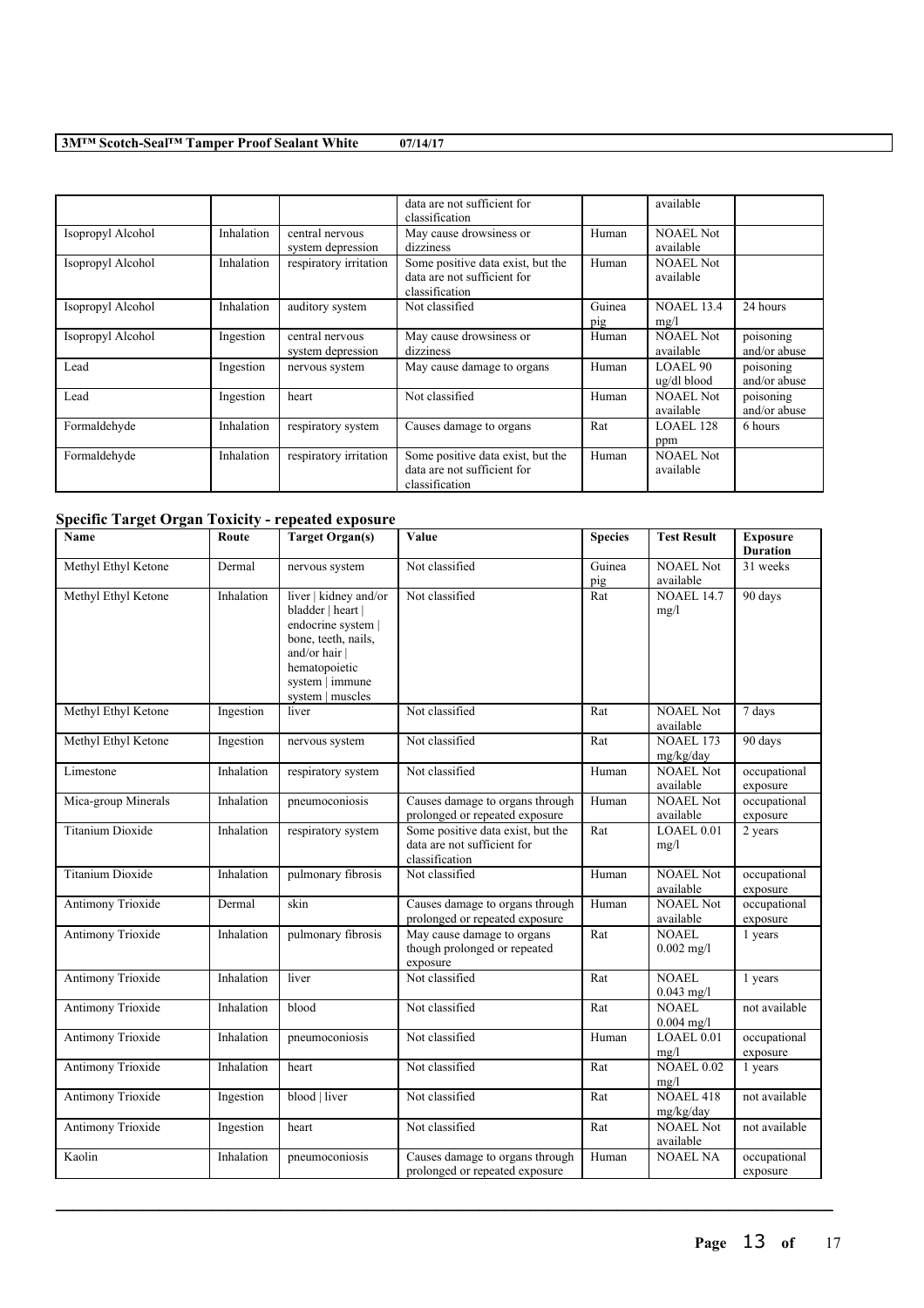|                   |            |                                      | data are not sufficient for<br>classification                                      |               | available                      |                           |
|-------------------|------------|--------------------------------------|------------------------------------------------------------------------------------|---------------|--------------------------------|---------------------------|
| Isopropyl Alcohol | Inhalation | central nervous<br>system depression | May cause drowsiness or<br>dizziness                                               | Human         | <b>NOAEL Not</b><br>available  |                           |
| Isopropyl Alcohol | Inhalation | respiratory irritation               | Some positive data exist, but the<br>data are not sufficient for<br>classification | Human         | <b>NOAEL Not</b><br>available  |                           |
| Isopropyl Alcohol | Inhalation | auditory system                      | Not classified                                                                     | Guinea<br>pig | <b>NOAEL 13.4</b><br>mg/l      | 24 hours                  |
| Isopropyl Alcohol | Ingestion  | central nervous<br>system depression | May cause drowsiness or<br>dizziness                                               | Human         | <b>NOAEL Not</b><br>available  | poisoning<br>and/or abuse |
| Lead              | Ingestion  | nervous system                       | May cause damage to organs                                                         | Human         | <b>LOAEL 90</b><br>ug/dl blood | poisoning<br>and/or abuse |
| Lead              | Ingestion  | heart                                | Not classified                                                                     | Human         | <b>NOAEL Not</b><br>available  | poisoning<br>and/or abuse |
| Formaldehyde      | Inhalation | respiratory system                   | Causes damage to organs                                                            | Rat           | <b>LOAEL 128</b><br>ppm        | 6 hours                   |
| Formaldehyde      | Inhalation | respiratory irritation               | Some positive data exist, but the<br>data are not sufficient for<br>classification | Human         | <b>NOAEL Not</b><br>available  |                           |

# **Specific Target Organ Toxicity - repeated exposure**

| Name                     | Route      | <b>Target Organ(s)</b>                                                                                                                                           | Value                                                                              | <b>Species</b>   | <b>Test Result</b>            | <b>Exposure</b><br><b>Duration</b> |
|--------------------------|------------|------------------------------------------------------------------------------------------------------------------------------------------------------------------|------------------------------------------------------------------------------------|------------------|-------------------------------|------------------------------------|
| Methyl Ethyl Ketone      | Dermal     | nervous system                                                                                                                                                   | Not classified                                                                     | Guinea<br>pig    | <b>NOAEL Not</b><br>available | 31 weeks                           |
| Methyl Ethyl Ketone      | Inhalation | liver   kidney and/or<br>bladder   heart  <br>endocrine system  <br>bone, teeth, nails,<br>and/or hair  <br>hematopoietic<br>system   immune<br>system   muscles | Not classified                                                                     | Rat              | <b>NOAEL 14.7</b><br>mg/l     | 90 days                            |
| Methyl Ethyl Ketone      | Ingestion  | liver                                                                                                                                                            | Not classified                                                                     | Rat              | <b>NOAEL Not</b><br>available | 7 days                             |
| Methyl Ethyl Ketone      | Ingestion  | nervous system                                                                                                                                                   | Not classified                                                                     | $\overline{R}at$ | NOAEL 173<br>mg/kg/day        | 90 days                            |
| Limestone                | Inhalation | respiratory system                                                                                                                                               | Not classified                                                                     | Human            | <b>NOAEL Not</b><br>available | occupational<br>exposure           |
| Mica-group Minerals      | Inhalation | pneumoconiosis                                                                                                                                                   | Causes damage to organs through<br>prolonged or repeated exposure                  | Human            | <b>NOAEL Not</b><br>available | occupational<br>exposure           |
| <b>Titanium Dioxide</b>  | Inhalation | respiratory system                                                                                                                                               | Some positive data exist, but the<br>data are not sufficient for<br>classification | Rat              | LOAEL 0.01<br>mg/l            | 2 years                            |
| <b>Titanium Dioxide</b>  | Inhalation | pulmonary fibrosis                                                                                                                                               | Not classified                                                                     | Human            | <b>NOAEL Not</b><br>available | occupational<br>exposure           |
| Antimony Trioxide        | Dermal     | skin                                                                                                                                                             | Causes damage to organs through<br>prolonged or repeated exposure                  | Human            | <b>NOAEL Not</b><br>available | occupational<br>exposure           |
| Antimony Trioxide        | Inhalation | pulmonary fibrosis                                                                                                                                               | May cause damage to organs<br>though prolonged or repeated<br>exposure             | Rat              | <b>NOAEL</b><br>$0.002$ mg/l  | 1 years                            |
| Antimony Trioxide        | Inhalation | liver                                                                                                                                                            | Not classified                                                                     | Rat              | <b>NOAEL</b><br>$0.043$ mg/l  | 1 years                            |
| Antimony Trioxide        | Inhalation | blood                                                                                                                                                            | Not classified                                                                     | Rat              | <b>NOAEL</b><br>$0.004$ mg/l  | not available                      |
| <b>Antimony Trioxide</b> | Inhalation | pneumoconiosis                                                                                                                                                   | Not classified                                                                     | Human            | LOAEL 0.01<br>mg/l            | occupational<br>exposure           |
| <b>Antimony Trioxide</b> | Inhalation | heart                                                                                                                                                            | Not classified                                                                     | Rat              | <b>NOAEL 0.02</b><br>mg/l     | 1 years                            |
| Antimony Trioxide        | Ingestion  | blood   liver                                                                                                                                                    | Not classified                                                                     | Rat              | <b>NOAEL 418</b><br>mg/kg/day | not available                      |
| Antimony Trioxide        | Ingestion  | heart                                                                                                                                                            | Not classified                                                                     | Rat              | <b>NOAEL Not</b><br>available | not available                      |
| Kaolin                   | Inhalation | pneumoconiosis                                                                                                                                                   | Causes damage to organs through<br>prolonged or repeated exposure                  | Human            | <b>NOAEL NA</b>               | occupational<br>exposure           |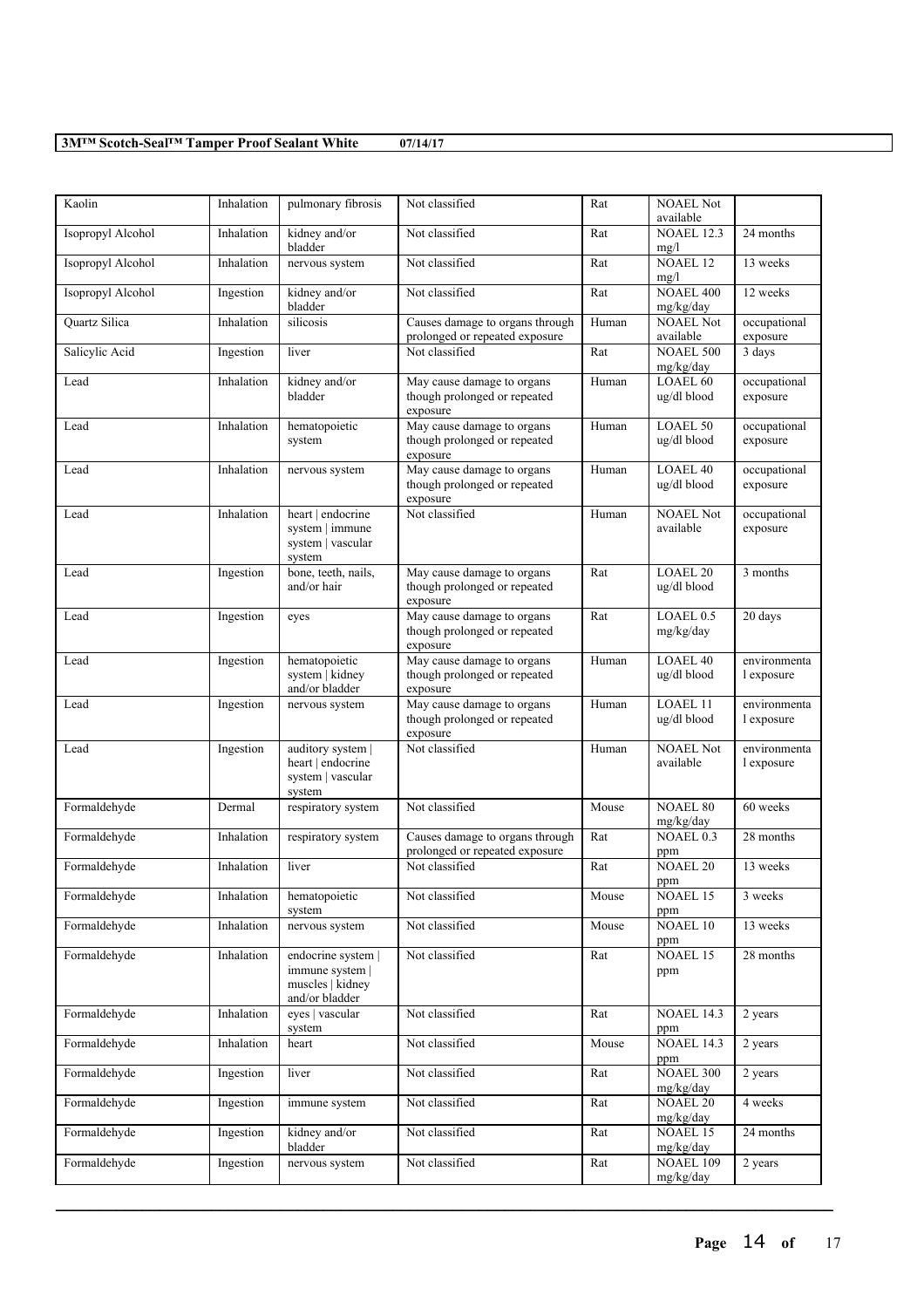| Kaolin            | Inhalation | pulmonary fibrosis                                                          | Not classified                                                         | Rat   | <b>NOAEL Not</b><br>available  |                            |
|-------------------|------------|-----------------------------------------------------------------------------|------------------------------------------------------------------------|-------|--------------------------------|----------------------------|
| Isopropyl Alcohol | Inhalation | kidney and/or<br>bladder                                                    | Not classified                                                         | Rat   | <b>NOAEL 12.3</b><br>mg/l      | 24 months                  |
| Isopropyl Alcohol | Inhalation | nervous system                                                              | Not classified                                                         | Rat   | <b>NOAEL 12</b><br>mg/l        | 13 weeks                   |
| Isopropyl Alcohol | Ingestion  | kidney and/or<br>bladder                                                    | Not classified                                                         | Rat   | <b>NOAEL 400</b><br>mg/kg/day  | 12 weeks                   |
| Quartz Silica     | Inhalation | silicosis                                                                   | Causes damage to organs through<br>prolonged or repeated exposure      | Human | <b>NOAEL Not</b><br>available  | occupational<br>exposure   |
| Salicylic Acid    | Ingestion  | liver                                                                       | Not classified                                                         | Rat   | <b>NOAEL 500</b><br>mg/kg/day  | 3 days                     |
| Lead              | Inhalation | kidney and/or<br>bladder                                                    | May cause damage to organs<br>though prolonged or repeated<br>exposure | Human | <b>LOAEL 60</b><br>ug/dl blood | occupational<br>exposure   |
| Lead              | Inhalation | hematopoietic<br>system                                                     | May cause damage to organs<br>though prolonged or repeated<br>exposure | Human | <b>LOAEL 50</b><br>ug/dl blood | occupational<br>exposure   |
| Lead              | Inhalation | nervous system                                                              | May cause damage to organs<br>though prolonged or repeated<br>exposure | Human | <b>LOAEL 40</b><br>ug/dl blood | occupational<br>exposure   |
| Lead              | Inhalation | heart   endocrine<br>system   immune<br>system   vascular<br>system         | Not classified                                                         | Human | <b>NOAEL Not</b><br>available  | occupational<br>exposure   |
| Lead              | Ingestion  | bone, teeth, nails,<br>and/or hair                                          | May cause damage to organs<br>though prolonged or repeated<br>exposure | Rat   | <b>LOAEL 20</b><br>ug/dl blood | 3 months                   |
| Lead              | Ingestion  | eyes                                                                        | May cause damage to organs<br>though prolonged or repeated<br>exposure | Rat   | LOAEL 0.5<br>mg/kg/day         | 20 days                    |
| Lead              | Ingestion  | hematopoietic<br>system   kidney<br>and/or bladder                          | May cause damage to organs<br>though prolonged or repeated<br>exposure | Human | <b>LOAEL 40</b><br>ug/dl blood | environmenta<br>l exposure |
| Lead              | Ingestion  | nervous system                                                              | May cause damage to organs<br>though prolonged or repeated<br>exposure | Human | LOAEL 11<br>ug/dl blood        | environmenta<br>l exposure |
| Lead              | Ingestion  | auditory system  <br>heart   endocrine<br>system   vascular<br>system       | Not classified                                                         | Human | <b>NOAEL Not</b><br>available  | environmenta<br>l exposure |
| Formaldehyde      | Dermal     | respiratory system                                                          | Not classified                                                         | Mouse | <b>NOAEL 80</b><br>mg/kg/day   | 60 weeks                   |
| Formaldehyde      | Inhalation | respiratory system                                                          | Causes damage to organs through<br>prolonged or repeated exposure      | Rat   | NOAEL 0.3<br>ppm               | 28 months                  |
| Formaldehyde      | Inhalation | liver                                                                       | Not classified                                                         | Rat   | <b>NOAEL 20</b><br>ppm         | 13 weeks                   |
| Formaldehyde      | Inhalation | hematopoietic<br>system                                                     | Not classified                                                         | Mouse | NOAEL 15<br>ppm                | 3 weeks                    |
| Formaldehyde      | Inhalation | nervous system                                                              | Not classified                                                         | Mouse | NOAEL 10<br>ppm                | 13 weeks                   |
| Formaldehyde      | Inhalation | endocrine system  <br>immune system  <br>muscles   kidney<br>and/or bladder | Not classified                                                         | Rat   | NOAEL 15<br>ppm                | 28 months                  |
| Formaldehyde      | Inhalation | eyes   vascular<br>system                                                   | Not classified                                                         | Rat   | <b>NOAEL 14.3</b><br>ppm       | 2 years                    |
| Formaldehyde      | Inhalation | heart                                                                       | Not classified                                                         | Mouse | <b>NOAEL 14.3</b><br>ppm       | 2 years                    |
| Formaldehyde      | Ingestion  | liver                                                                       | Not classified                                                         | Rat   | <b>NOAEL 300</b><br>mg/kg/day  | 2 years                    |
| Formaldehyde      | Ingestion  | immune system                                                               | Not classified                                                         | Rat   | <b>NOAEL 20</b><br>mg/kg/day   | 4 weeks                    |
| Formaldehyde      | Ingestion  | kidney and/or<br>bladder                                                    | Not classified                                                         | Rat   | NOAEL 15<br>mg/kg/day          | 24 months                  |
| Formaldehyde      | Ingestion  | nervous system                                                              | Not classified                                                         | Rat   | <b>NOAEL 109</b><br>mg/kg/day  | 2 years                    |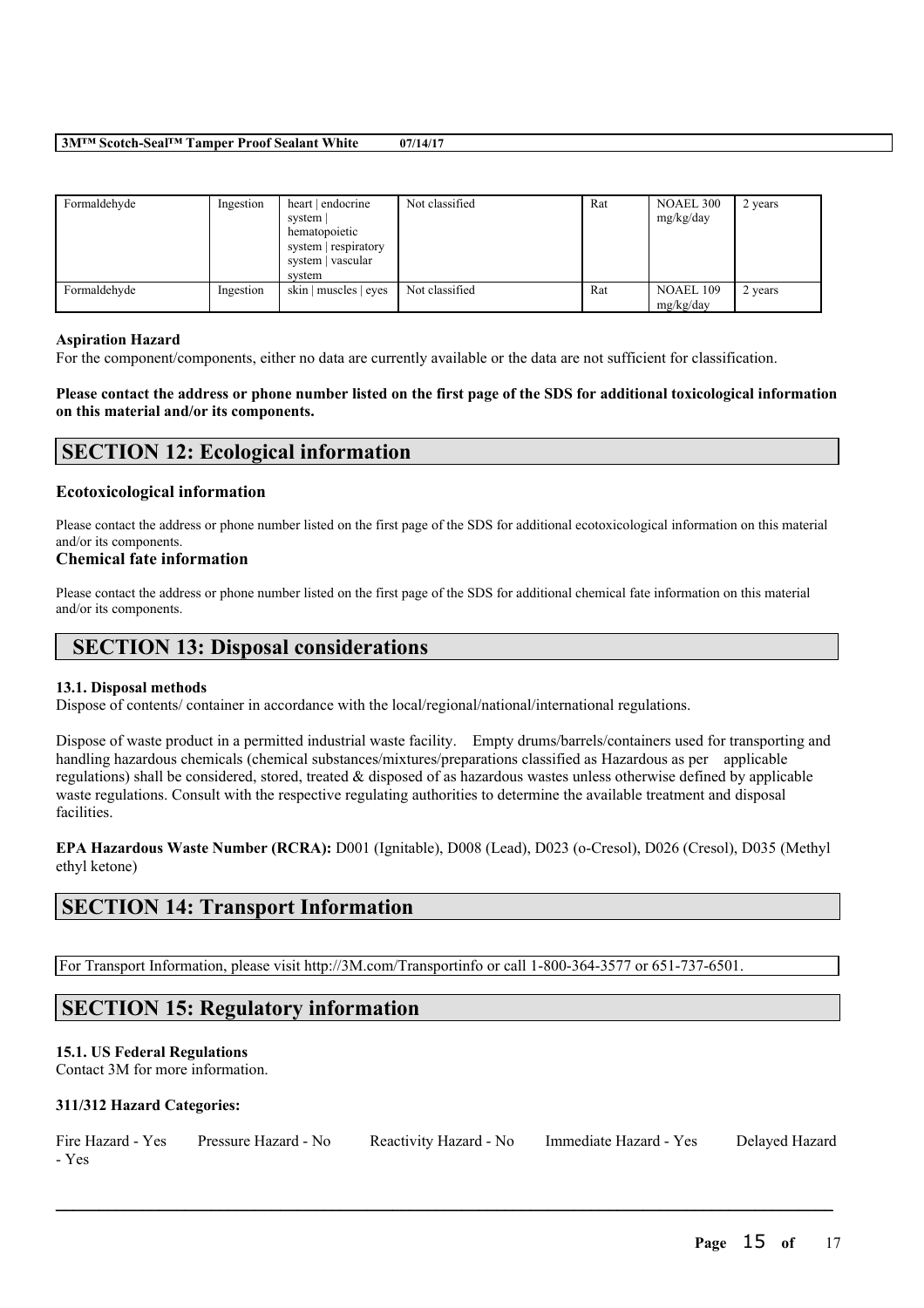| Formaldehyde | Ingestion | heart   endocrine<br>system<br>hematopoietic<br>system respiratory<br>system   vascular<br>system | Not classified | Rat | NOAEL 300<br>mg/kg/day | 2 years |
|--------------|-----------|---------------------------------------------------------------------------------------------------|----------------|-----|------------------------|---------|
| Formaldehyde | Ingestion | skin   muscles   eyes                                                                             | Not classified | Rat | NOAEL 109<br>mg/kg/day | 2 years |

### **Aspiration Hazard**

For the component/components, either no data are currently available or the data are not sufficient for classification.

# Please contact the address or phone number listed on the first page of the SDS for additional toxicological information **on this material and/or its components.**

# **SECTION 12: Ecological information**

# **Ecotoxicological information**

Please contact the address or phone number listed on the first page of the SDS for additional ecotoxicological information on this material and/or its components.

# **Chemical fate information**

Please contact the address or phone number listed on the first page of the SDS for additional chemical fate information on this material and/or its components.

# **SECTION 13: Disposal considerations**

# **13.1. Disposal methods**

Dispose of contents/ container in accordance with the local/regional/national/international regulations.

Dispose of waste product in a permitted industrial waste facility. Empty drums/barrels/containers used for transporting and handling hazardous chemicals (chemical substances/mixtures/preparations classified as Hazardous as per applicable regulations) shall be considered, stored, treated & disposed of as hazardous wastes unless otherwise defined by applicable waste regulations. Consult with the respective regulating authorities to determine the available treatment and disposal facilities.

**EPA Hazardous Waste Number (RCRA):** D001 (Ignitable), D008 (Lead), D023 (o-Cresol), D026 (Cresol), D035 (Methyl ethyl ketone)

# **SECTION 14: Transport Information**

For Transport Information, please visit http://3M.com/Transportinfo or call 1-800-364-3577 or 651-737-6501.

# **SECTION 15: Regulatory information**

# **15.1. US Federal Regulations**

Contact 3M for more information.

# **311/312 Hazard Categories:**

| Fire Hazard - Yes | Pressure Hazard - No | Reactivity Hazard - No | Immediate Hazard - Yes | Delayed Hazard |
|-------------------|----------------------|------------------------|------------------------|----------------|
| - Yes             |                      |                        |                        |                |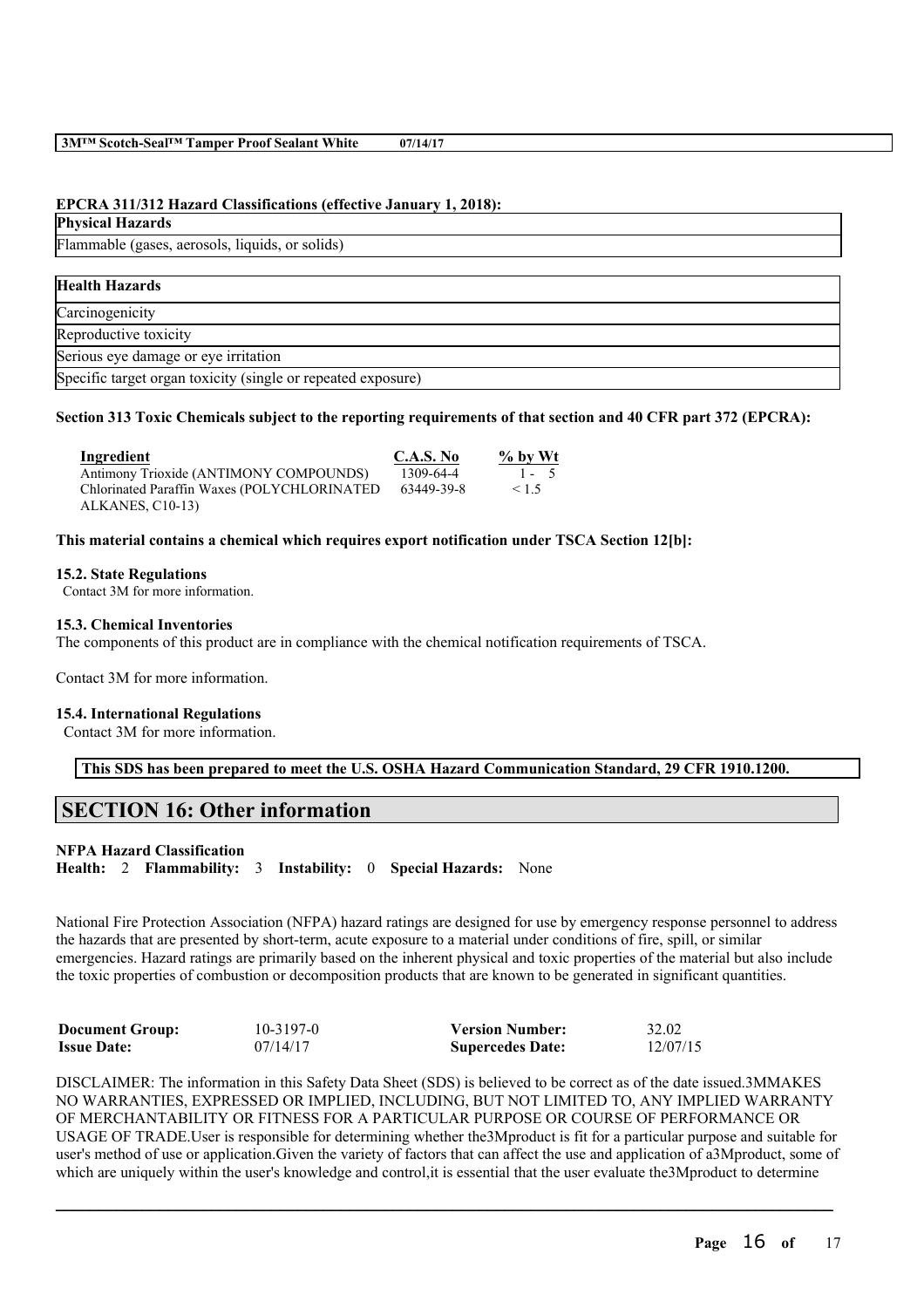#### **EPCRA 311/312 Hazard Classifications (effective January 1, 2018):**

#### **Physical Hazards**

Flammable (gases, aerosols, liquids, or solids)

| <b>Health Hazards</b>                                        |  |
|--------------------------------------------------------------|--|
| Carcinogenicity                                              |  |
| Reproductive toxicity                                        |  |
| Serious eye damage or eye irritation                         |  |
| Specific target organ toxicity (single or repeated exposure) |  |

### Section 313 Toxic Chemicals subject to the reporting requirements of that section and 40 CFR part 372 (EPCRA):

| Ingredient                                   | C.A.S. No  | $\%$ by Wt |
|----------------------------------------------|------------|------------|
| Antimony Trioxide (ANTIMONY COMPOUNDS)       | 1309-64-4  | $1 - 5$    |
| Chlorinated Paraffin Waxes (POLYCHLORINATED) | 63449-39-8 | $\leq$ 1.5 |
| ALKANES, C10-13)                             |            |            |

#### **This material contains a chemical which requires export notification under TSCA Section 12[b]:**

#### **15.2. State Regulations**

Contact 3M for more information.

# **15.3. Chemical Inventories**

The components of this product are in compliance with the chemical notification requirements of TSCA.

Contact 3M for more information.

#### **15.4. International Regulations**

Contact 3M for more information.

**This SDS has been prepared to meet the U.S. OSHA Hazard Communication Standard, 29 CFR 1910.1200.**

# **SECTION 16: Other information**

#### **NFPA Hazard Classification**

**Health:** 2 **Flammability:** 3 **Instability:** 0 **Special Hazards:** None

National Fire Protection Association (NFPA) hazard ratings are designed for use by emergency response personnel to address the hazards that are presented by short-term, acute exposure to a material under conditions of fire, spill, or similar emergencies. Hazard ratings are primarily based on the inherent physical and toxic properties of the material but also include the toxic properties of combustion or decomposition products that are known to be generated in significant quantities.

| <b>Document Group:</b> | 10-3197-0 | <b>Version Number:</b>  | 32.02    |
|------------------------|-----------|-------------------------|----------|
| <b>Issue Date:</b>     | 07/14/17  | <b>Supercedes Date:</b> | 12/07/15 |

DISCLAIMER: The information in this Safety Data Sheet (SDS) is believed to be correct as of the date issued.3MMAKES NO WARRANTIES, EXPRESSED OR IMPLIED, INCLUDING, BUT NOT LIMITED TO, ANY IMPLIED WARRANTY OF MERCHANTABILITY OR FITNESS FOR A PARTICULAR PURPOSE OR COURSE OF PERFORMANCE OR USAGE OF TRADE.User is responsible for determining whether the3Mproduct is fit for a particular purpose and suitable for user's method of use or application.Given the variety of factors that can affect the use and application of a3Mproduct, some of which are uniquely within the user's knowledge and control, it is essential that the user evaluate the 3Mproduct to determine